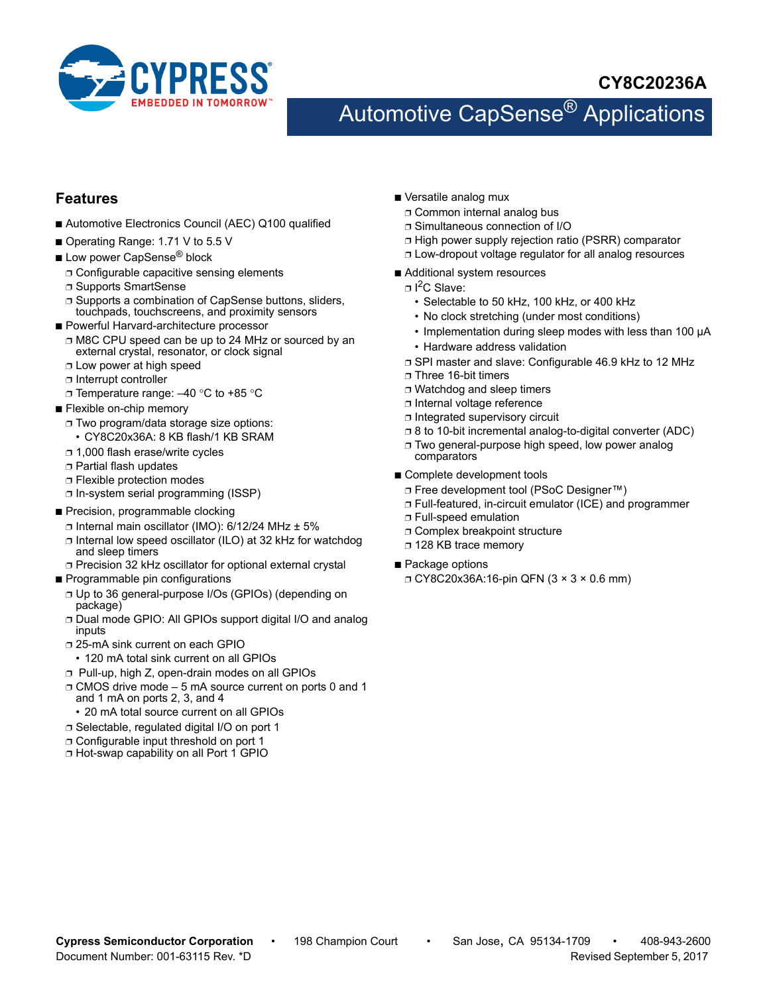

## **CY8C20236A**

# Automotive CapSense<sup>®</sup> Applications

### **Features**

- Automotive Electronics Council (AEC) Q100 qualified
- Operating Range: 1.71 V to 5.5 V
- Low power CapSense<sup>®</sup> block
	- ❐ Configurable capacitive sensing elements
	- ❐ Supports SmartSense
	- ❐ Supports a combination of CapSense buttons, sliders, touchpads, touchscreens, and proximity sensors
- Powerful Harvard-architecture processor
	- ❐ M8C CPU speed can be up to 24 MHz or sourced by an external crystal, resonator, or clock signal
	- ❐ Low power at high speed
	- ❐ Interrupt controller
- □ Temperature range: -40 °C to +85 °C
- Flexible on-chip memory
	- ❐ Two program/data storage size options:
	- CY8C20x36A: 8 KB flash/1 KB SRAM
	- ❐ 1,000 flash erase/write cycles
	- ❐ Partial flash updates
	- ❐ Flexible protection modes
	- ❐ In-system serial programming (ISSP)
- Precision, programmable clocking
	- ❐ Internal main oscillator (IMO): 6/12/24 MHz ± 5%
	- ❐ Internal low speed oscillator (ILO) at 32 kHz for watchdog and sleep timers
	- ❐ Precision 32 kHz oscillator for optional external crystal
- Programmable pin configurations
	- ❐ Up to 36 general-purpose I/Os (GPIOs) (depending on package)
	- ❐ Dual mode GPIO: All GPIOs support digital I/O and analog inputs
	- ❐ 25-mA sink current on each GPIO
	- 120 mA total sink current on all GPIOs
	- ❐ Pull-up, high Z, open-drain modes on all GPIOs
	- ❐ CMOS drive mode 5 mA source current on ports 0 and 1 and 1 mA on ports 2, 3, and 4
		- 20 mA total source current on all GPIOs
	- ❐ Selectable, regulated digital I/O on port 1
	- ❐ Configurable input threshold on port 1
	- ❐ Hot-swap capability on all Port 1 GPIO
- Versatile analog mux
- ❐ Common internal analog bus
- ❐ Simultaneous connection of I/O
- ❐ High power supply rejection ratio (PSRR) comparator
- ❐ Low-dropout voltage regulator for all analog resources
- Additional system resources
	- □ I<sup>2</sup>C Slave:
		- Selectable to 50 kHz, 100 kHz, or 400 kHz
		- No clock stretching (under most conditions)
		- Implementation during sleep modes with less than 100 µA
		- Hardware address validation
	- ❐ SPI master and slave: Configurable 46.9 kHz to 12 MHz
	- ❐ Three 16-bit timers
	- ❐ Watchdog and sleep timers
	- ❐ Internal voltage reference
	- ❐ Integrated supervisory circuit
	- ❐ 8 to 10-bit incremental analog-to-digital converter (ADC)
	- ❐ Two general-purpose high speed, low power analog comparators
- Complete development tools
	- ❐ Free development tool (PSoC Designer™)
	- ❐ Full-featured, in-circuit emulator (ICE) and programmer
	- ❐ Full-speed emulation
	- ❐ Complex breakpoint structure
	- ❐ 128 KB trace memory
- Package options
	- ❐ CY8C20x36A:16-pin QFN (3 × 3 × 0.6 mm)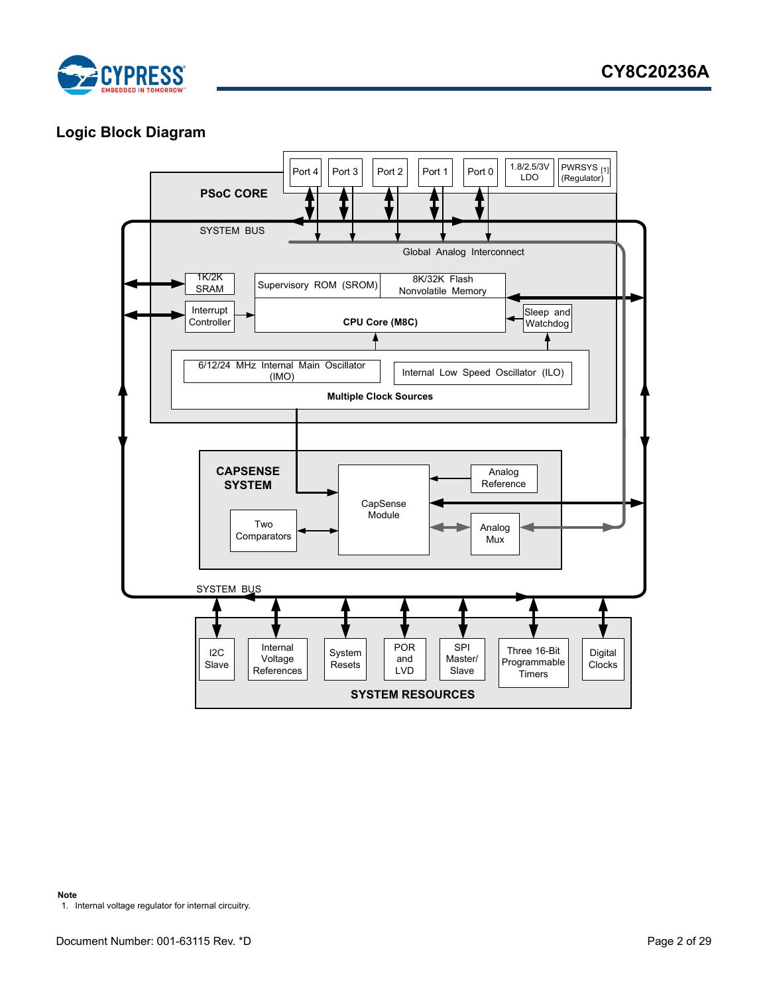

## <span id="page-1-1"></span>**Logic Block Diagram**

<span id="page-1-0"></span>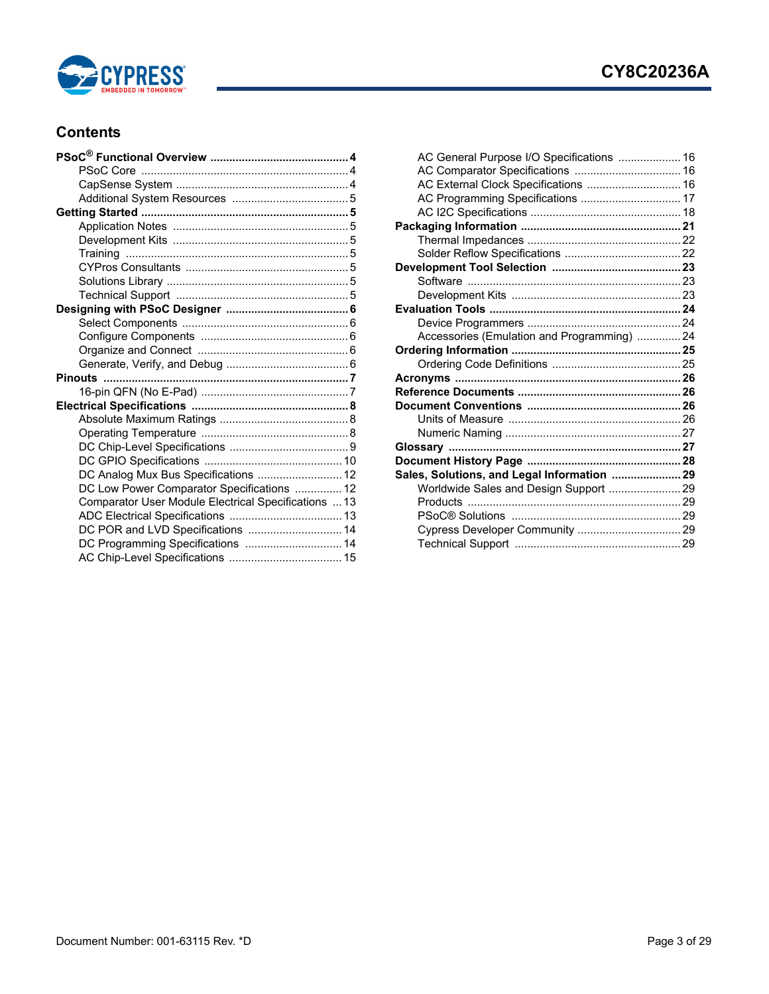

## **CY8C20236A**

### **Contents**

| DC Analog Mux Bus Specifications  12                 |  |
|------------------------------------------------------|--|
| DC Low Power Comparator Specifications  12           |  |
| Comparator User Module Electrical Specifications  13 |  |
|                                                      |  |
| DC POR and LVD Specifications  14                    |  |
| DC Programming Specifications  14                    |  |
|                                                      |  |
|                                                      |  |

| AC General Purpose I/O Specifications  16   |  |
|---------------------------------------------|--|
|                                             |  |
| AC External Clock Specifications  16        |  |
| AC Programming Specifications  17           |  |
|                                             |  |
|                                             |  |
|                                             |  |
|                                             |  |
|                                             |  |
|                                             |  |
|                                             |  |
|                                             |  |
|                                             |  |
| Accessories (Emulation and Programming)  24 |  |
|                                             |  |
|                                             |  |
|                                             |  |
|                                             |  |
|                                             |  |
|                                             |  |
|                                             |  |
|                                             |  |
|                                             |  |
| Sales, Solutions, and Legal Information  29 |  |
| Worldwide Sales and Design Support  29      |  |
|                                             |  |
|                                             |  |
|                                             |  |
|                                             |  |
|                                             |  |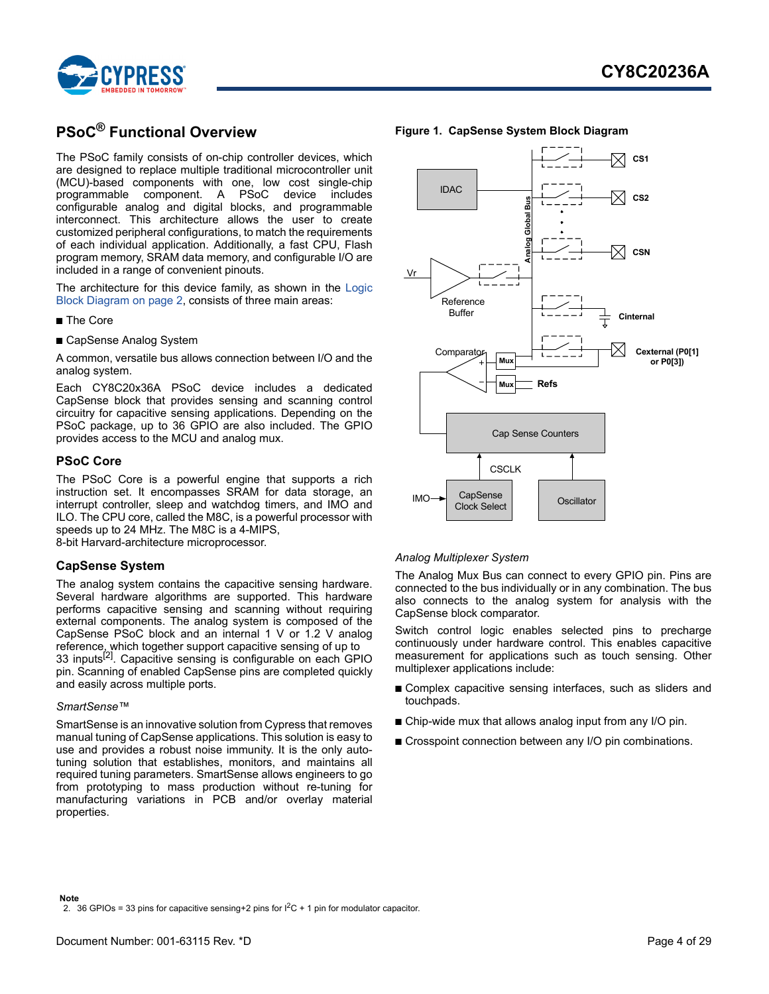

## <span id="page-3-0"></span>**PSoC® Functional Overview**

The PSoC family consists of on-chip controller devices, which are designed to replace multiple traditional microcontroller unit (MCU)-based components with one, low cost single-chip programmable component. A PSoC device includes configurable analog and digital blocks, and programmable interconnect. This architecture allows the user to create customized peripheral configurations, to match the requirements of each individual application. Additionally, a fast CPU, Flash program memory, SRAM data memory, and configurable I/O are included in a range of convenient pinouts.

The architecture for this device family, as shown in the [Logic](#page-1-1) [Block Diagram on page 2,](#page-1-1) consists of three main areas:

- The Core
- CapSense Analog System

A common, versatile bus allows connection between I/O and the analog system.

Each CY8C20x36A PSoC device includes a dedicated CapSense block that provides sensing and scanning control circuitry for capacitive sensing applications. Depending on the PSoC package, up to 36 GPIO are also included. The GPIO provides access to the MCU and analog mux.

#### <span id="page-3-1"></span>**PSoC Core**

The PSoC Core is a powerful engine that supports a rich instruction set. It encompasses SRAM for data storage, an interrupt controller, sleep and watchdog timers, and IMO and ILO. The CPU core, called the M8C, is a powerful processor with speeds up to 24 MHz. The M8C is a 4-MIPS,

8-bit Harvard-architecture microprocessor.

### <span id="page-3-2"></span>**CapSense System**

The analog system contains the capacitive sensing hardware. Several hardware algorithms are supported. This hardware performs capacitive sensing and scanning without requiring external components. The analog system is composed of the CapSense PSoC block and an internal 1 V or 1.2 V analog reference, which together support capacitive sensing of up to 33 inputs<sup>[\[2](#page-3-3)]</sup>. Capacitive sensing is configurable on each GPIO pin. Scanning of enabled CapSense pins are completed quickly and easily across multiple ports.

#### *SmartSense™*

<span id="page-3-3"></span>SmartSense is an innovative solution from Cypress that removes manual tuning of CapSense applications. This solution is easy to use and provides a robust noise immunity. It is the only autotuning solution that establishes, monitors, and maintains all required tuning parameters. SmartSense allows engineers to go from prototyping to mass production without re-tuning for manufacturing variations in PCB and/or overlay material properties.



### **Figure 1. CapSense System Block Diagram**

#### *Analog Multiplexer System*

The Analog Mux Bus can connect to every GPIO pin. Pins are connected to the bus individually or in any combination. The bus also connects to the analog system for analysis with the CapSense block comparator.

Switch control logic enables selected pins to precharge continuously under hardware control. This enables capacitive measurement for applications such as touch sensing. Other multiplexer applications include:

- Complex capacitive sensing interfaces, such as sliders and touchpads.
- Chip-wide mux that allows analog input from any I/O pin.
- Crosspoint connection between any I/O pin combinations.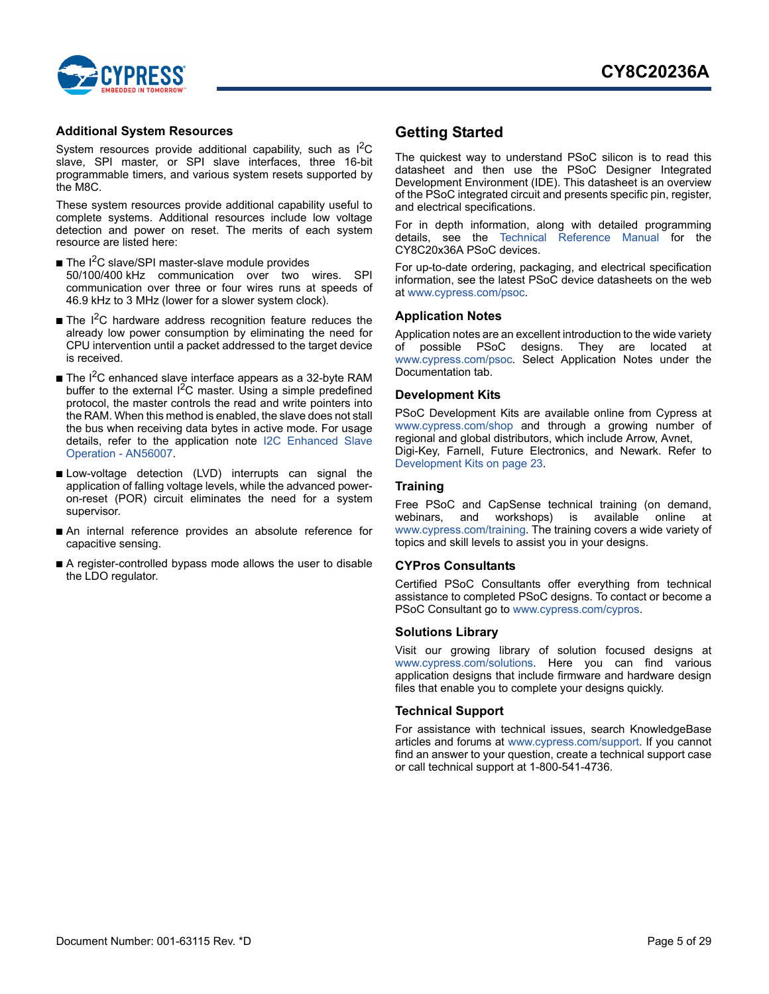

#### <span id="page-4-0"></span>**Additional System Resources**

System resources provide additional capability, such as  $1^2C$ slave, SPI master, or SPI slave interfaces, three 16-bit programmable timers, and various system resets supported by the M8C.

These system resources provide additional capability useful to complete systems. Additional resources include low voltage detection and power on reset. The merits of each system resource are listed here:

- $\blacksquare$  The I<sup>2</sup>C slave/SPI master-slave module provides 50/100/400 kHz communication over two wires. SPI communication over three or four wires runs at speeds of 46.9 kHz to 3 MHz (lower for a slower system clock).
- The I<sup>2</sup>C hardware address recognition feature reduces the already low power consumption by eliminating the need for CPU intervention until a packet addressed to the target device is received.
- The  $I^2C$  enhanced slave interface appears as a 32-byte RAM buffer to the external  ${}^{12}C$  master. Using a simple predefined protocol, the master controls the read and write pointers into [the RAM. When this method is enabled, the slave does not stall](http://www.cypress.com/?rID=38495) the bus when receiving data bytes in active mode. For usage [details, refer to the application note](http://www.cypress.com/?rID=38495) I2C Enhanced Slave Operation - AN56007.
- Low-voltage detection (LVD) interrupts can signal the application of falling voltage levels, while the advanced poweron-reset (POR) circuit eliminates the need for a system supervisor.
- An internal reference provides an absolute reference for capacitive sensing.
- A register-controlled bypass mode allows the user to disable the LDO regulator.

### <span id="page-4-1"></span>**Getting Started**

The quickest way to understand PSoC silicon is to read this datasheet and then use the PSoC Designer Integrated Development Environment (IDE). This datasheet is an overview of the PSoC integrated circuit and presents specific pin, register, and electrical specifications.

For in depth information, along with detailed programming details, see the [Technical Reference Manual](http://www.cypress.com/?rID=34379) for the CY8C20x36A PSoC devices.

[For up-to-date ordering, packaging, and electrical specification](http://www.cypress.com/psoc) information, see the latest PSoC device datasheets on the web [at w](http://www.cypress.com/psoc)ww.cypress.com/psoc.

#### <span id="page-4-2"></span>**Application Notes**

Application notes are an excellent introduction to the wide variety of possible PSoC designs. They are located at [www.cypress.com/psoc](http://www.cypress.com/psoc). Select Application Notes under the Documentation tab.

### <span id="page-4-3"></span>**Development Kits**

PSoC Development Kits are available online from Cypress at [www.cypress.com/shop](http://www.cypress.com/shop) and through a growing number of regional and global distributors, which include Arrow, Avnet, Digi-Key, Farnell, Future Electronics, and Newark. Refer to [Development Kits on page 23](#page-22-2).

### <span id="page-4-4"></span>**Training**

Free PSoC and CapSense technical training (on demand, [webinars, and workshops\) is available online at](http://www.cypress.com/training) www.cypress.com/training. The training covers a wide variety of topics and skill levels to assist you in your designs.

### <span id="page-4-5"></span>**CYPros Consultants**

Certified PSoC Consultants offer everything from technical [assistance to completed PSoC designs. To contact or become a](http://www.cypress.com/?id=1088&) [PSoC Consultant go to w](http://www.cypress.com/?id=1088&)ww.cypress.com/cypros.

#### <span id="page-4-6"></span>**Solutions Library**

Visit our growing library of solution focused designs at [www.cypress.com/solutions.](http://www.cypress.com/?id=3) Here you can find various application designs that include firmware and hardware design files that enable you to complete your designs quickly.

#### <span id="page-4-7"></span>**Technical Support**

For assistance with technical issues, search KnowledgeBase articles and forums at [www.cypress.com/support](http://www.cypress.com/support). If you cannot find an answer to your question, create a technical support case or call technical support at 1-800-541-4736.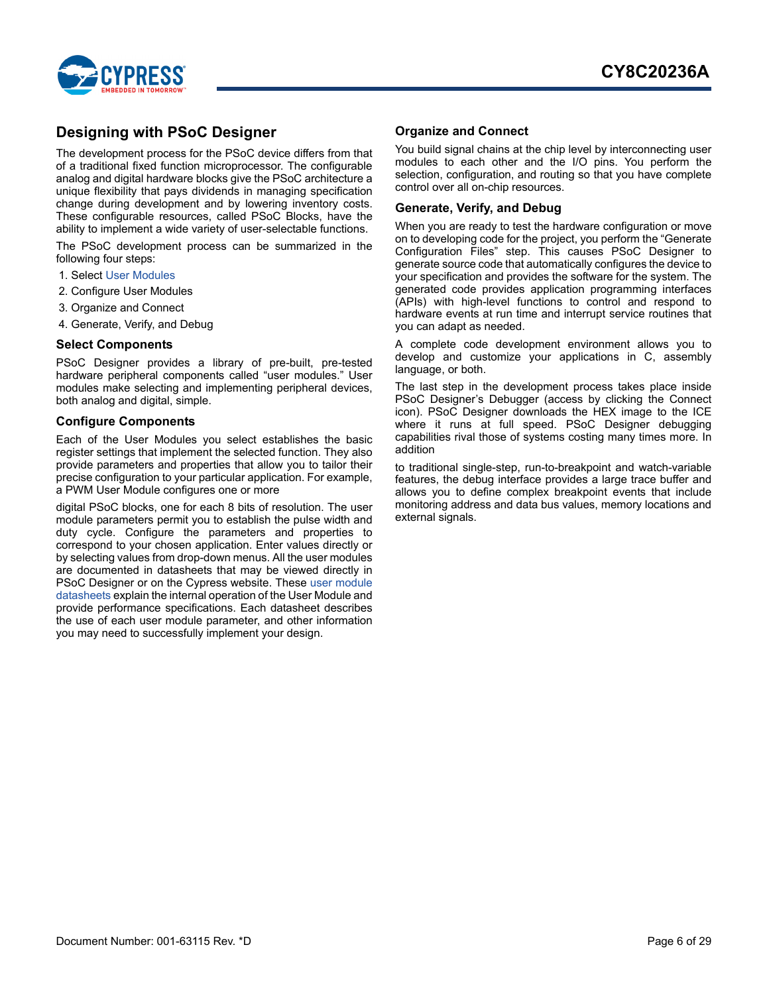

### <span id="page-5-0"></span>**Designing with PSoC Designer**

The development process for the PSoC device differs from that of a traditional fixed function microprocessor. The configurable analog and digital hardware blocks give the PSoC architecture a unique flexibility that pays dividends in managing specification change during development and by lowering inventory costs. These configurable resources, called PSoC Blocks, have the ability to implement a wide variety of user-selectable functions.

The PSoC development process can be summarized in the following four steps:

- 1. Select [User Modules](http://www.cypress.com/?rID=39931)
- 2. Configure User Modules
- 3. Organize and Connect
- 4. Generate, Verify, and Debug

#### <span id="page-5-1"></span>**Select Components**

PSoC Designer provides a library of pre-built, pre-tested hardware peripheral components called "user modules." User modules make selecting and implementing peripheral devices, both analog and digital, simple.

### <span id="page-5-2"></span>**Configure Components**

Each of the User Modules you select establishes the basic register settings that implement the selected function. They also provide parameters and properties that allow you to tailor their precise configuration to your particular application. For example, a PWM User Module configures one or more

digital PSoC blocks, one for each 8 bits of resolution. The user module parameters permit you to establish the pulse width and duty cycle. Configure the parameters and properties to correspond to your chosen application. Enter values directly or by selecting values from drop-down menus. All the user modules are documented in datasheets that may be viewed directly in PSoC Designer or on the Cypress website. These [user module](http://www.cypress.com/?app=search&searchType=keyword&keyword=&rtID=116&id=0&applicationID=0&l=1) [datasheets](http://www.cypress.com/?app=search&searchType=keyword&keyword=&rtID=116&id=0&applicationID=0&l=1) explain the internal operation of the User Module and provide performance specifications. Each datasheet describes the use of each user module parameter, and other information you may need to successfully implement your design.

### <span id="page-5-3"></span>**Organize and Connect**

You build signal chains at the chip level by interconnecting user modules to each other and the I/O pins. You perform the selection, configuration, and routing so that you have complete control over all on-chip resources.

### <span id="page-5-4"></span>**Generate, Verify, and Debug**

When you are ready to test the hardware configuration or move on to developing code for the project, you perform the "Generate Configuration Files" step. This causes PSoC Designer to generate source code that automatically configures the device to your specification and provides the software for the system. The generated code provides application programming interfaces (APIs) with high-level functions to control and respond to hardware events at run time and interrupt service routines that you can adapt as needed.

A complete code development environment allows you to develop and customize your applications in C, assembly language, or both.

The last step in the development process takes place inside PSoC Designer's Debugger (access by clicking the Connect icon). PSoC Designer downloads the HEX image to the ICE where it runs at full speed. PSoC Designer debugging capabilities rival those of systems costing many times more. In addition

to traditional single-step, run-to-breakpoint and watch-variable features, the debug interface provides a large trace buffer and allows you to define complex breakpoint events that include monitoring address and data bus values, memory locations and external signals.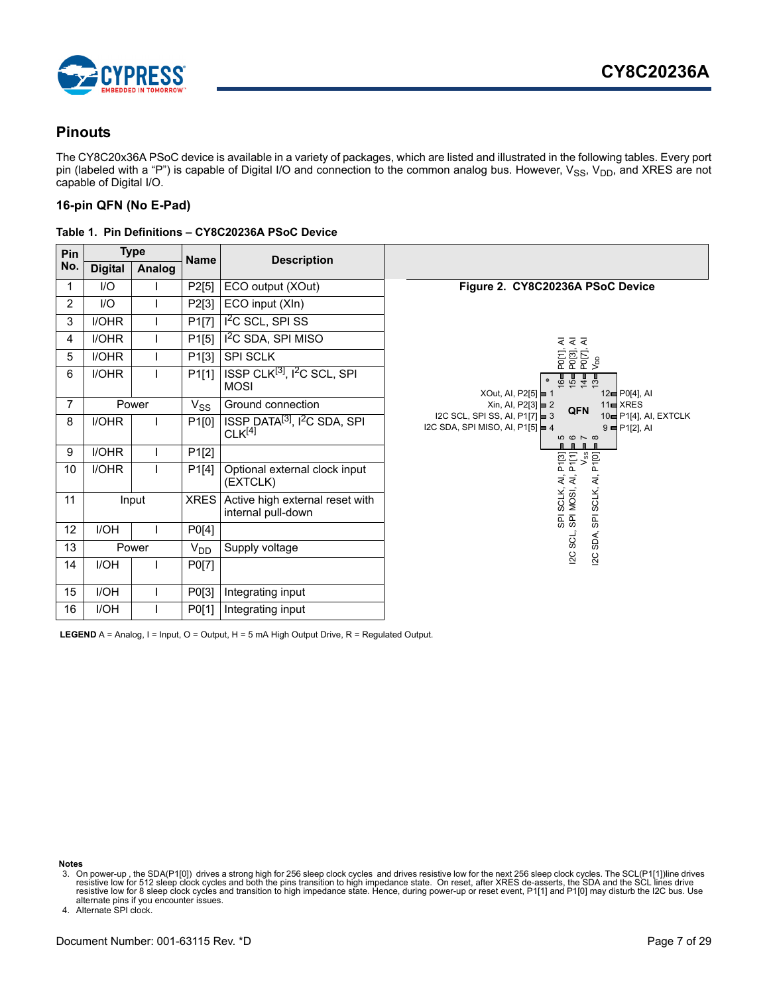

### <span id="page-6-0"></span>**Pinouts**

The CY8C20x36A PSoC device is available in a variety of packages, which are listed and illustrated in the following tables. Every port pin (labeled with a "P") is capable of Digital I/O and connection to the common analog bus. However,  $V_{SS}$ ,  $V_{DD}$ , and XRES are not capable of Digital I/O.

### <span id="page-6-1"></span>**16-pin QFN (No E-Pad)**

|  |  |  | Table 1. Pin Definitions - CY8C20236A PSoC Device |  |
|--|--|--|---------------------------------------------------|--|
|  |  |  |                                                   |  |

| Pin            | <b>Type</b><br><b>Digital</b><br>Analog |       | <b>Name</b> | <b>Description</b>                                                         |                                                                                                                                                                               |
|----------------|-----------------------------------------|-------|-------------|----------------------------------------------------------------------------|-------------------------------------------------------------------------------------------------------------------------------------------------------------------------------|
| No.            |                                         |       |             |                                                                            |                                                                                                                                                                               |
| 1              | I/O                                     |       | P2[5]       | ECO output (XOut)                                                          | Figure 2. CY8C20236A PSoC Device                                                                                                                                              |
| $\overline{2}$ | $II$                                    |       | P2[3]       | ECO input (XIn)                                                            |                                                                                                                                                                               |
| 3              | <b>I/OHR</b>                            |       | P1[7]       | $I2C$ SCL, SPI SS                                                          |                                                                                                                                                                               |
| 4              | I/OHR                                   |       | P1[5]       | I <sup>2</sup> C SDA, SPI MISO                                             |                                                                                                                                                                               |
| 5              | I/OHR                                   |       | P1[3]       | <b>SPI SCLK</b>                                                            | P0[1], Al<br>P0[3], Al<br>P0[7], Al<br>V <sub>DD</sub>                                                                                                                        |
| 6              | I/OHR                                   |       | P1[1]       | ISSP CLK <sup>[3]</sup> , I <sup>2</sup> C SCL, SPI<br><b>MOSI</b>         | <b>8545</b><br>$\bullet$<br>XOut, AI, P2[5] $\equiv$ 1<br>12 <sup>e</sup> P0[4], Al                                                                                           |
| 7              |                                         | Power | $V_{SS}$    | Ground connection                                                          | $11 \equiv \text{XRES}$<br>$Xin$ , Al, P2[3] $\blacktriangleright$ 2<br>QFN                                                                                                   |
| 8              | I/OHR                                   |       | P1[0]       | ISSP DATA <sup>[3]</sup> , I <sup>2</sup> C SDA, SPI<br>CLK <sup>[4]</sup> | I2C SCL, SPI SS, AI, P1[7] $\equiv$ 3<br>10 <sup>-</sup> P1[4], AI, EXTCLK<br>I2C SDA, SPI MISO, AI, P1[5] $\equiv$ 4<br>$9 =$ P <sub>1</sub> [2], Al<br>$\omega \sim \infty$ |
| 9              | I/OHR                                   |       | P1[2]       |                                                                            |                                                                                                                                                                               |
| 10             | I/OHR                                   |       | P1[4]       | Optional external clock input<br>(EXTCLK)                                  |                                                                                                                                                                               |
| 11             |                                         | Input | <b>XRES</b> | Active high external reset with<br>internal pull-down                      | SPI SCLK, AI, P1[3]<br>SPI MOSI, AI, P1[1]<br>V <sub>ss</sub><br>SPI SCLK, AI, P1[0]                                                                                          |
| 12             | <b>I/OH</b>                             |       | P0[4]       |                                                                            | SDA,                                                                                                                                                                          |
| 13             |                                         | Power | $V_{DD}$    | Supply voltage                                                             | sci,<br>12C                                                                                                                                                                   |
| 14             | <b>I/OH</b>                             |       | P0[7]       |                                                                            | 2C                                                                                                                                                                            |
| 15             | <b>I/OH</b>                             |       | P0[3]       | Integrating input                                                          |                                                                                                                                                                               |
| 16             | <b>I/OH</b>                             |       | P0[1]       | Integrating input                                                          |                                                                                                                                                                               |

LEGEND A = Analog, I = Input, O = Output, H = 5 mA High Output Drive, R = Regulated Output.

**Notes**

<span id="page-6-3"></span>4. Alternate SPI clock.

<span id="page-6-2"></span>on power-up , the SDA(P1[0]) drives a strong high for 256 sleep clock cycles and drives resistive low for the next 256 sleep clock cycles. The SCL(P1[11])line drives دresistive low for the next 256 sleep clock cycles an alternate pins if you encounter issues.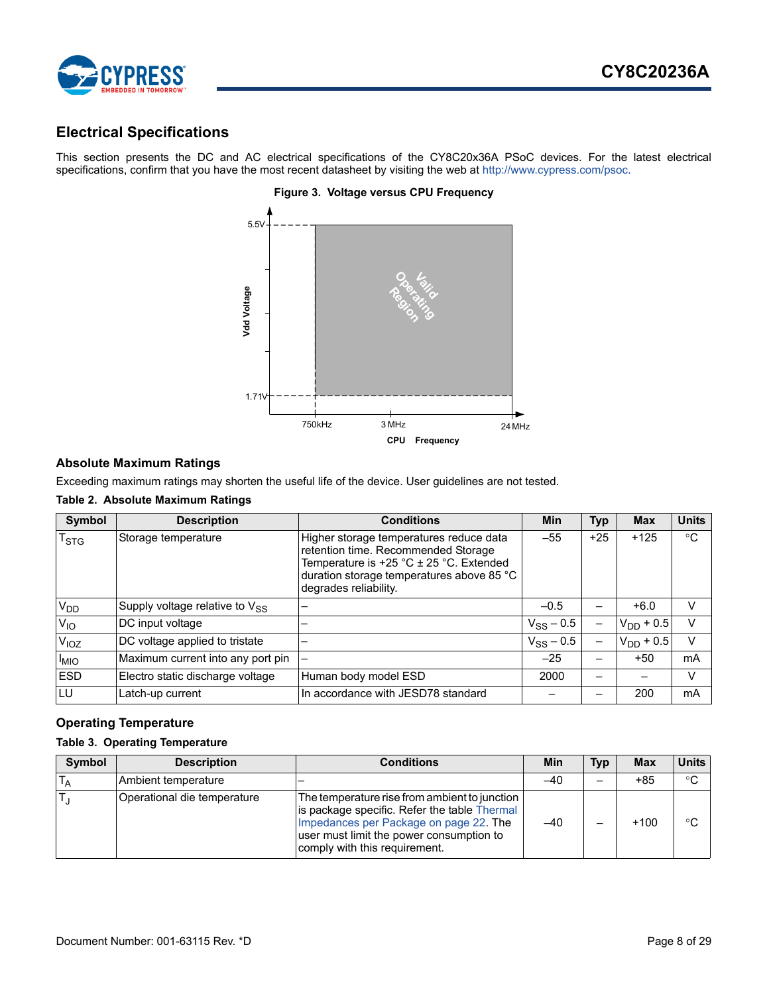

### <span id="page-7-0"></span>**Electrical Specifications**

This section presents the DC and AC electrical specifications of the CY8C20x36A PSoC devices. For the latest electrical specifications, confirm that you have the most recent datasheet by visiting the web at<http://www.cypress.com/psoc>.



### **Figure 3. Voltage versus CPU Frequency**

### <span id="page-7-1"></span>**Absolute Maximum Ratings**

Exceeding maximum ratings may shorten the useful life of the device. User guidelines are not tested.

### **Table 2. Absolute Maximum Ratings**

| Symbol           | <b>Description</b>                         | <b>Conditions</b>                                                                                                                                                                                     | <b>Min</b>     | <b>Typ</b>               | <b>Max</b>     | <b>Units</b> |
|------------------|--------------------------------------------|-------------------------------------------------------------------------------------------------------------------------------------------------------------------------------------------------------|----------------|--------------------------|----------------|--------------|
| T <sub>STG</sub> | Storage temperature                        | Higher storage temperatures reduce data<br>retention time. Recommended Storage<br>Temperature is $+25$ °C $\pm$ 25 °C. Extended<br>duration storage temperatures above 85 °C<br>degrades reliability. | $-55$          | $+25$                    | $+125$         | $^{\circ}C$  |
| V <sub>DD</sub>  | Supply voltage relative to V <sub>SS</sub> |                                                                                                                                                                                                       | $-0.5$         |                          | $+6.0$         | V            |
| $V_{IO}$         | DC input voltage                           |                                                                                                                                                                                                       | $V_{SS}$ – 0.5 |                          | $V_{DD}$ + 0.5 | V            |
| V <sub>IOZ</sub> | DC voltage applied to tristate             |                                                                                                                                                                                                       | $V_{SS} - 0.5$ |                          | $V_{DD}$ + 0.5 | V            |
| <sup>I</sup> MIO | Maximum current into any port pin          |                                                                                                                                                                                                       | $-25$          | $\overline{\phantom{0}}$ | $+50$          | mA           |
| <b>ESD</b>       | Electro static discharge voltage           | Human body model ESD                                                                                                                                                                                  | 2000           |                          |                | V            |
| LU               | Latch-up current                           | In accordance with JESD78 standard                                                                                                                                                                    |                |                          | 200            | mA           |

### <span id="page-7-2"></span>**Operating Temperature**

#### <span id="page-7-3"></span>**Table 3. Operating Temperature**

| <b>Symbol</b> | <b>Description</b>          | <b>Conditions</b>                                                                                                                                                                                                    | Min   | Typ | <b>Max</b> | <b>Units</b> |
|---------------|-----------------------------|----------------------------------------------------------------------------------------------------------------------------------------------------------------------------------------------------------------------|-------|-----|------------|--------------|
|               | Ambient temperature         |                                                                                                                                                                                                                      | $-40$ |     | $+85$      | $^{\circ}C$  |
|               | Operational die temperature | The temperature rise from ambient to junction<br>is package specific. Refer the table Thermal<br>Impedances per Package on page 22. The<br>user must limit the power consumption to<br>comply with this requirement. | $-40$ |     | $+100$     | °C           |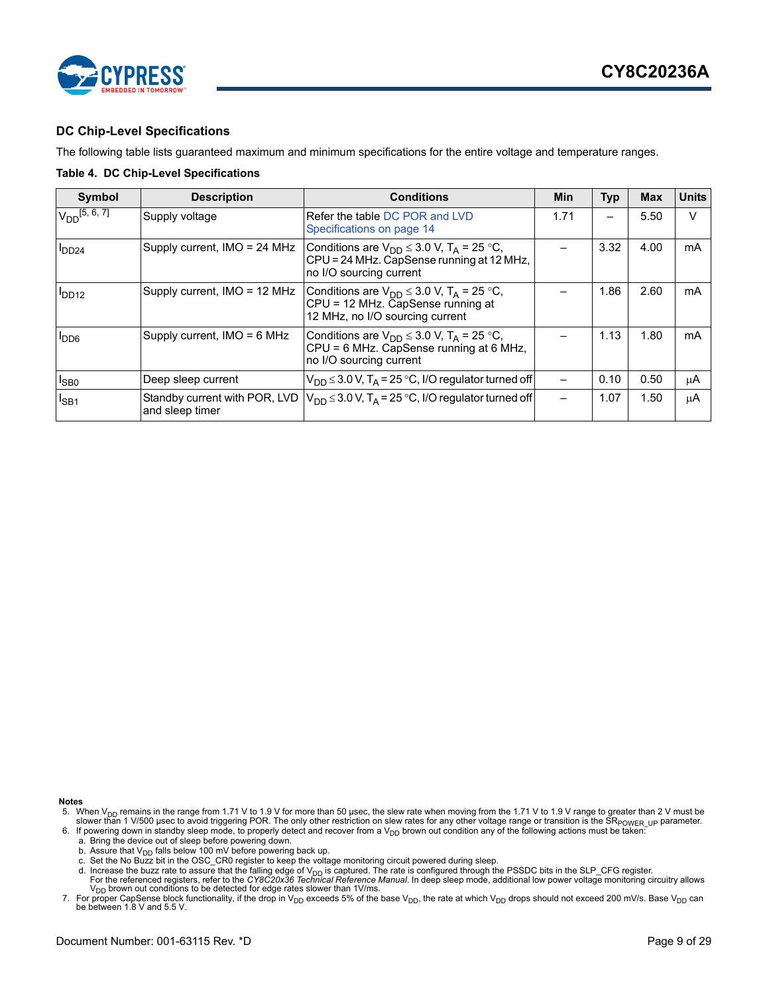



### <span id="page-8-0"></span>**DC Chip-Level Specifications**

The following table lists guaranteed maximum and minimum specifications for the entire voltage and temperature ranges.

#### <span id="page-8-4"></span>**Table 4. DC Chip-Level Specifications**

| <b>Symbol</b>      | <b>Description</b>                               | <b>Conditions</b>                                                                                                                   | Min  | <b>Typ</b> | <b>Max</b> | <b>Units</b> |
|--------------------|--------------------------------------------------|-------------------------------------------------------------------------------------------------------------------------------------|------|------------|------------|--------------|
| $V_{DD}$ [5, 6, 7] | Supply voltage                                   | Refer the table DC POR and LVD<br>Specifications on page 14                                                                         | 1.71 |            | 5.50       | $\vee$       |
| $1_{DD24}$         | Supply current, IMO = 24 MHz                     | Conditions are $V_{DD} \leq 3.0$ V, T <sub>A</sub> = 25 °C,<br>CPU = 24 MHz. CapSense running at 12 MHz,<br>no I/O sourcing current |      | 3.32       | 4.00       | mA           |
| <b>DD12</b>        | Supply current, IMO = 12 MHz                     | Conditions are $V_{DD} \leq 3.0$ V, T <sub>A</sub> = 25 °C,<br>CPU = 12 MHz. CapSense running at<br>12 MHz, no I/O sourcing current |      | 1.86       | 2.60       | mA           |
| <b>PDD6</b>        | Supply current, $IMO = 6 MHz$                    | Conditions are $V_{DD} \leq 3.0$ V, T <sub>A</sub> = 25 °C,<br>CPU = 6 MHz. CapSense running at 6 MHz,<br>no I/O sourcing current   |      | 1.13       | 1.80       | mA           |
| $I_{\text{SBO}}$   | Deep sleep current                               | $V_{DD} \leq 3.0 V$ , T <sub>A</sub> = 25 °C, I/O regulator turned off                                                              |      | 0.10       | 0.50       | μA           |
| $I_{SB1}$          | Standby current with POR, LVD<br>and sleep timer | $V_{DD} \leq 3.0$ V, T <sub>A</sub> = 25 °C, I/O regulator turned off                                                               |      | 1.07       | 1.50       | μA           |

**Notes**

- a. Bring the device out of sleep before powering down.
- b. Assure that  $V_{DD}$  falls below 100 mV before powering back up.
- c. Set the No Buzz bit in the OSC\_CR0 register to keep the voltage monitoring circuit powered during sleep.
- d. Increase the buzz rate to assure that the falling edge of V<sub>DD</sub> is captured. The rate is configured through the PSSDC bits in the SLP\_CFG register.<br>For the referenced registers, refer to the CY8C20x36 Technical Referenc

<span id="page-8-1"></span><sup>5.</sup> When V<sub>DD</sub> remains in the range from 1.71 V to 1.9 V for more than 50 µsec, the slew rate when moving from the 1.71 V to 1.9 V range to greater than 2 V must be<br>slower than 1 V/500 µsec to avoid triggering POR. The only

<span id="page-8-2"></span><sup>6.</sup> If powering down in standby sleep mode, to properly detect and recover from a  $V_{DD}$  brown out condition any of the following actions must be taken:

<span id="page-8-3"></span><sup>7.</sup> For proper CapSense block functionality, if the drop in V<sub>DD</sub> exceeds 5% of the base V<sub>DD</sub>, the rate at which V<sub>DD</sub> drops should not exceed 200 mV/s. Base V<sub>DD</sub> can be between 1.8 V and 5.5 V.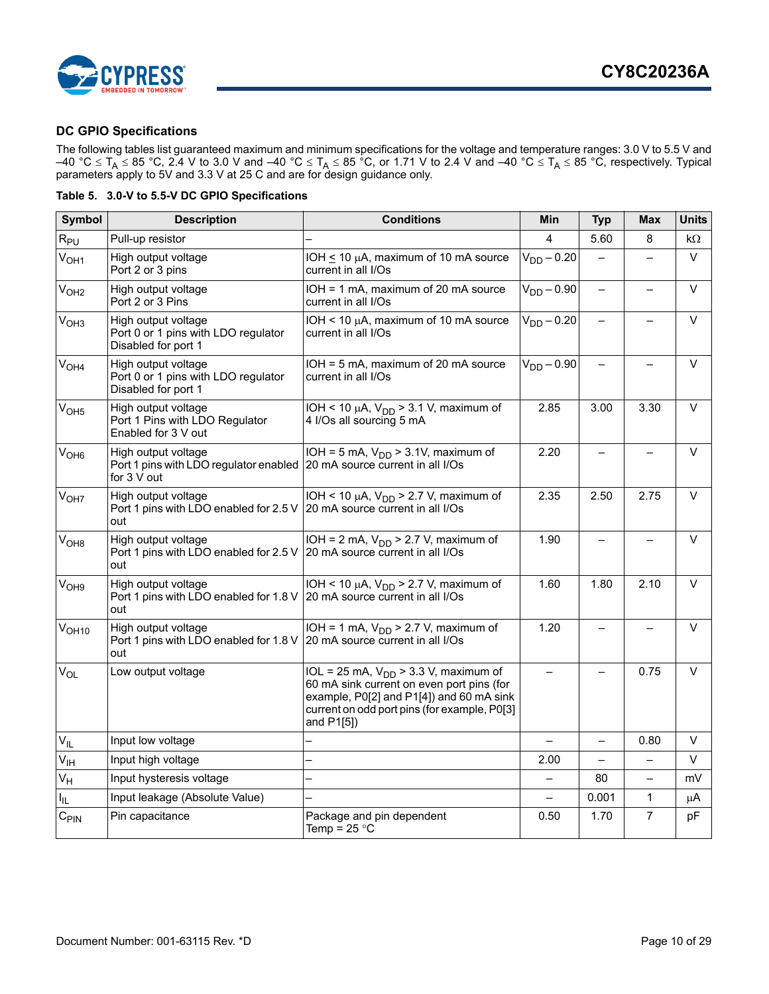

### <span id="page-9-0"></span>**DC GPIO Specifications**

The following tables list guaranteed maximum and minimum specifications for the voltage and temperature ranges: 3.0 V to 5.5 V and –40 °C  $\leq$  T<sub>A</sub>  $\leq$  85 °C, 2.4 V to 3.0 V and –40 °C  $\leq$  T<sub>A</sub>  $\leq$  85 °C, or 1.71 V to 2.4 V and –40 °C  $\leq$  T<sub>A</sub>  $\leq$  85 °C, respectively. Typical parameters apply to 5V and 3.3 V at 25 C and are for design guidance only.

|  |  |  |  | Table 5. 3.0-V to 5.5-V DC GPIO Specifications |
|--|--|--|--|------------------------------------------------|
|--|--|--|--|------------------------------------------------|

| <b>Symbol</b>     | <b>Description</b>                                                                                            | <b>Conditions</b>                                                                                                                                                                                | <b>Min</b>               | <b>Typ</b>               | <b>Max</b>               | <b>Units</b> |
|-------------------|---------------------------------------------------------------------------------------------------------------|--------------------------------------------------------------------------------------------------------------------------------------------------------------------------------------------------|--------------------------|--------------------------|--------------------------|--------------|
| $R_{PU}$          | Pull-up resistor                                                                                              |                                                                                                                                                                                                  | 4                        | 5.60                     | 8                        | $k\Omega$    |
| $V_{OH1}$         | High output voltage<br>Port 2 or 3 pins                                                                       | IOH $\leq$ 10 µA, maximum of 10 mA source<br>current in all I/Os                                                                                                                                 | $V_{DD} - 0.20$          | $\qquad \qquad -$        | $\overline{\phantom{0}}$ | V            |
| $V_{OH2}$         | High output voltage<br>Port 2 or 3 Pins                                                                       | IOH = 1 mA, maximum of 20 mA source<br>current in all I/Os                                                                                                                                       | $V_{DD} - 0.90$          | $\qquad \qquad -$        |                          | $\vee$       |
| V <sub>OH3</sub>  | High output voltage<br>Port 0 or 1 pins with LDO regulator<br>Disabled for port 1                             | IOH < 10 $\mu$ A, maximum of 10 mA source<br>current in all I/Os                                                                                                                                 | $V_{DD} - 0.20$          | $\equiv$                 | $\overline{a}$           | $\vee$       |
| $V_{OH4}$         | High output voltage<br>Port 0 or 1 pins with LDO regulator<br>Disabled for port 1                             | IOH = 5 mA, maximum of 20 mA source<br>current in all I/Os                                                                                                                                       | $V_{DD} - 0.90$          |                          |                          | $\vee$       |
| V <sub>OH5</sub>  | High output voltage<br>Port 1 Pins with LDO Regulator<br>Enabled for 3 V out                                  | IOH < 10 $\mu$ A, V <sub>DD</sub> > 3.1 V, maximum of<br>4 I/Os all sourcing 5 mA                                                                                                                | 2.85                     | 3.00                     | 3.30                     | $\vee$       |
| V <sub>OH6</sub>  | High output voltage<br>Port 1 pins with LDO regulator enabled 20 mA source current in all I/Os<br>for 3 V out | IOH = 5 mA, $V_{DD}$ > 3.1V, maximum of                                                                                                                                                          | 2.20                     | $\qquad \qquad -$        | $\qquad \qquad -$        | $\vee$       |
| $V_{OH7}$         | High output voltage<br>Port 1 pins with LDO enabled for 2.5 V<br>out                                          | IOH < 10 $\mu$ A, V <sub>DD</sub> > 2.7 V, maximum of<br>20 mA source current in all I/Os                                                                                                        | 2.35                     | 2.50                     | 2.75                     | $\vee$       |
| $V_{OHB}$         | High output voltage<br>Port 1 pins with LDO enabled for 2.5 V<br>out                                          | IOH = 2 mA, $V_{DD}$ > 2.7 V, maximum of<br>20 mA source current in all I/Os                                                                                                                     | 1.90                     |                          |                          | $\vee$       |
| V <sub>OH9</sub>  | High output voltage<br>Port 1 pins with LDO enabled for 1.8 V 20 mA source current in all I/Os<br>out         | IOH < 10 $\mu$ A, V <sub>DD</sub> > 2.7 V, maximum of                                                                                                                                            | 1.60                     | 1.80                     | 2.10                     | $\vee$       |
| V <sub>OH10</sub> | High output voltage<br>Port 1 pins with LDO enabled for 1.8 V<br>out                                          | IOH = 1 mA, $V_{DD}$ > 2.7 V, maximum of<br>20 mA source current in all I/Os                                                                                                                     | 1.20                     | $\overline{\phantom{0}}$ | $\overline{\phantom{0}}$ | $\vee$       |
| $V_{OL}$          | Low output voltage                                                                                            | IOL = 25 mA, $V_{DD}$ > 3.3 V, maximum of<br>60 mA sink current on even port pins (for<br>example, P0[2] and P1[4]) and 60 mA sink<br>current on odd port pins (for example, P0[3]<br>and P1[5]) |                          |                          | 0.75                     | $\vee$       |
| $V_{IL}$          | Input low voltage                                                                                             |                                                                                                                                                                                                  |                          |                          | 0.80                     | $\vee$       |
| $V_{\text{IH}}$   | Input high voltage                                                                                            |                                                                                                                                                                                                  | 2.00                     |                          | $\overline{\phantom{0}}$ | v            |
| $V_H$             | Input hysteresis voltage                                                                                      |                                                                                                                                                                                                  | $\overline{\phantom{0}}$ | 80                       | $\qquad \qquad -$        | mV           |
| ΙL.               | Input leakage (Absolute Value)                                                                                |                                                                                                                                                                                                  |                          | 0.001                    | $\mathbf{1}$             | μA           |
| $C_{\text{PIN}}$  | Pin capacitance                                                                                               | Package and pin dependent<br>Temp = $25 °C$                                                                                                                                                      | 0.50                     | 1.70                     | $\overline{7}$           | pF           |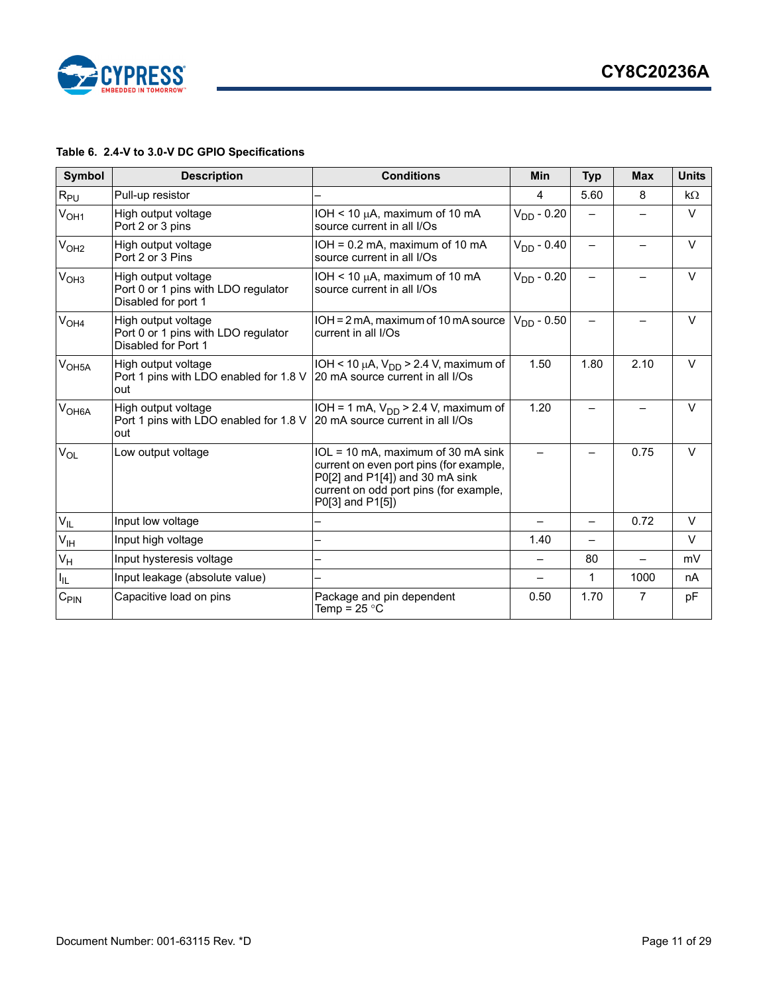

### **Table 6. 2.4-V to 3.0-V DC GPIO Specifications**

| Symbol            | <b>Description</b>                                                                | <b>Conditions</b>                                                                                                                                                              | <b>Min</b>      | <b>Typ</b> | <b>Max</b> | <b>Units</b> |
|-------------------|-----------------------------------------------------------------------------------|--------------------------------------------------------------------------------------------------------------------------------------------------------------------------------|-----------------|------------|------------|--------------|
| $R_{PU}$          | Pull-up resistor                                                                  |                                                                                                                                                                                | 4               | 5.60       | 8          | kΩ           |
| $V_{OH1}$         | High output voltage<br>Port 2 or 3 pins                                           | IOH < 10 $\mu$ A, maximum of 10 mA<br>source current in all I/Os                                                                                                               | $V_{DD} - 0.20$ |            |            | $\vee$       |
| V <sub>OH2</sub>  | High output voltage<br>Port 2 or 3 Pins                                           | $IOH = 0.2$ mA, maximum of 10 mA<br>source current in all I/Os                                                                                                                 | $V_{DD} - 0.40$ |            |            | $\vee$       |
| V <sub>OH3</sub>  | High output voltage<br>Port 0 or 1 pins with LDO regulator<br>Disabled for port 1 | IOH < 10 $\mu$ A, maximum of 10 mA<br>source current in all I/Os                                                                                                               | $V_{DD}$ - 0.20 |            |            | $\vee$       |
| V <sub>OH4</sub>  | High output voltage<br>Port 0 or 1 pins with LDO regulator<br>Disabled for Port 1 | IOH = 2 mA, maximum of 10 mA source<br>current in all I/Os                                                                                                                     | $V_{DD}$ - 0.50 |            |            | $\vee$       |
| V <sub>OH5A</sub> | High output voltage<br>Port 1 pins with LDO enabled for 1.8 V<br>out              | IOH < 10 $\mu$ A, V <sub>DD</sub> > 2.4 V, maximum of<br>20 mA source current in all I/Os                                                                                      | 1.50            | 1.80       | 2.10       | $\vee$       |
| V <sub>OH6A</sub> | High output voltage<br>Port 1 pins with LDO enabled for 1.8 V<br>out              | IOH = 1 mA, $V_{DD}$ > 2.4 V, maximum of<br>20 mA source current in all I/Os                                                                                                   | 1.20            |            |            | $\vee$       |
| $V_{OL}$          | Low output voltage                                                                | IOL = 10 mA, maximum of 30 mA sink<br>current on even port pins (for example,<br>P0[2] and P1[4]) and 30 mA sink<br>current on odd port pins (for example,<br>P0[3] and P1[5]) |                 |            | 0.75       | $\vee$       |
| $V_{IL}$          | Input low voltage                                                                 |                                                                                                                                                                                |                 |            | 0.72       | $\vee$       |
| $V_{\text{IH}}$   | Input high voltage                                                                |                                                                                                                                                                                | 1.40            |            |            | $\vee$       |
| $V_H$             | Input hysteresis voltage                                                          |                                                                                                                                                                                |                 | 80         |            | mV           |
| I <sub>IL</sub>   | Input leakage (absolute value)                                                    |                                                                                                                                                                                |                 | 1          | 1000       | nA           |
| $C_{\text{PIN}}$  | Capacitive load on pins                                                           | Package and pin dependent<br>Temp = 25 $^{\circ}$ C                                                                                                                            | 0.50            | 1.70       | 7          | pF           |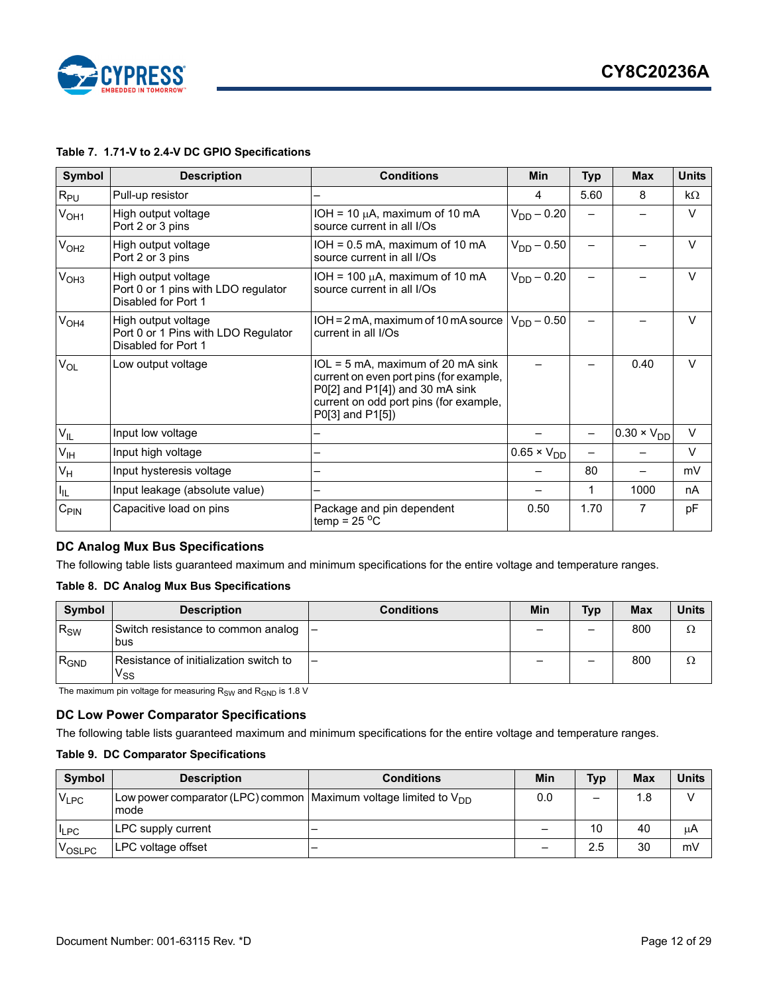

### **Table 7. 1.71-V to 2.4-V DC GPIO Specifications**

| Symbol           | <b>Description</b>                                                                | <b>Conditions</b>                                                                                                                                                             | <b>Min</b>           | <b>Typ</b> | <b>Max</b>           | <b>Units</b> |
|------------------|-----------------------------------------------------------------------------------|-------------------------------------------------------------------------------------------------------------------------------------------------------------------------------|----------------------|------------|----------------------|--------------|
| $R_{PU}$         | Pull-up resistor                                                                  |                                                                                                                                                                               | 4                    | 5.60       | 8                    | $k\Omega$    |
| V <sub>OH1</sub> | High output voltage<br>Port 2 or 3 pins                                           | IOH = 10 $\mu$ A, maximum of 10 mA<br>source current in all I/Os                                                                                                              | $V_{DD} - 0.20$      |            |                      | $\vee$       |
| V <sub>OH2</sub> | High output voltage<br>Port 2 or 3 pins                                           | $IOH = 0.5$ mA, maximum of 10 mA<br>source current in all I/Os                                                                                                                | $V_{DD} - 0.50$      |            |                      | $\vee$       |
| V <sub>OH3</sub> | High output voltage<br>Port 0 or 1 pins with LDO regulator<br>Disabled for Port 1 | IOH = 100 $\mu$ A, maximum of 10 mA<br>source current in all I/Os                                                                                                             | $V_{DD} - 0.20$      |            |                      | $\vee$       |
| V <sub>OH4</sub> | High output voltage<br>Port 0 or 1 Pins with LDO Regulator<br>Disabled for Port 1 | $IOH = 2mA$ , maximum of 10 mA source  <br>current in all I/Os                                                                                                                | $V_{DD} - 0.50$      |            |                      | $\vee$       |
| $V_{OL}$         | Low output voltage                                                                | IOL = 5 mA, maximum of 20 mA sink<br>current on even port pins (for example,<br>P0[2] and P1[4]) and 30 mA sink<br>current on odd port pins (for example,<br>P0[3] and P1[5]) |                      |            | 0.40                 | $\vee$       |
| $V_{IL}$         | Input low voltage                                                                 |                                                                                                                                                                               |                      |            | $0.30 \times V_{DD}$ | $\vee$       |
| $V_{\text{IH}}$  | Input high voltage                                                                |                                                                                                                                                                               | $0.65 \times V_{DD}$ |            |                      | $\vee$       |
| $V_H$            | Input hysteresis voltage                                                          |                                                                                                                                                                               |                      | 80         |                      | mV           |
| I <sub>IL</sub>  | Input leakage (absolute value)                                                    |                                                                                                                                                                               |                      | 1          | 1000                 | nA           |
| $C_{\text{PIN}}$ | Capacitive load on pins                                                           | Package and pin dependent<br>temp = $25^{\circ}$ C                                                                                                                            | 0.50                 | 1.70       | 7                    | pF           |

### <span id="page-11-0"></span>**DC Analog Mux Bus Specifications**

The following table lists guaranteed maximum and minimum specifications for the entire voltage and temperature ranges.

### **Table 8. DC Analog Mux Bus Specifications**

| <b>Symbol</b> | <b>Description</b>                                                   | <b>Conditions</b>        | Min | <b>Typ</b> | <b>Max</b> | <b>Units</b> |
|---------------|----------------------------------------------------------------------|--------------------------|-----|------------|------------|--------------|
| $R_{SW}$      | Switch resistance to common analog<br>bus                            | ı —                      |     | -          | 800        | Ω            |
| $R_{GND}$     | Resistance of initialization switch to<br>$\mathsf{v}_{\mathsf{ss}}$ | $\overline{\phantom{0}}$ |     | -          | 800        | Ω            |

The maximum pin voltage for measuring  $R_{SW}$  and  $R_{GND}$  is 1.8 V

### <span id="page-11-1"></span>**DC Low Power Comparator Specifications**

The following table lists guaranteed maximum and minimum specifications for the entire voltage and temperature ranges.

#### **Table 9. DC Comparator Specifications**

| Symbol     | <b>Description</b>                                                            | <b>Conditions</b> | Min | <b>Typ</b> | <b>Max</b> | <b>Units</b> |
|------------|-------------------------------------------------------------------------------|-------------------|-----|------------|------------|--------------|
| $V_{LPC}$  | Low power comparator (LPC) common Maximum voltage limited to $V_{DD}$<br>mode |                   | 0.0 | —          | 1.8        | $\sqrt{ }$   |
| <b>LPC</b> | LPC supply current                                                            |                   | -   | 10         | 40         | μA           |
| VOSLPC     | LPC voltage offset                                                            |                   | -   | 2.5        | 30         | mV           |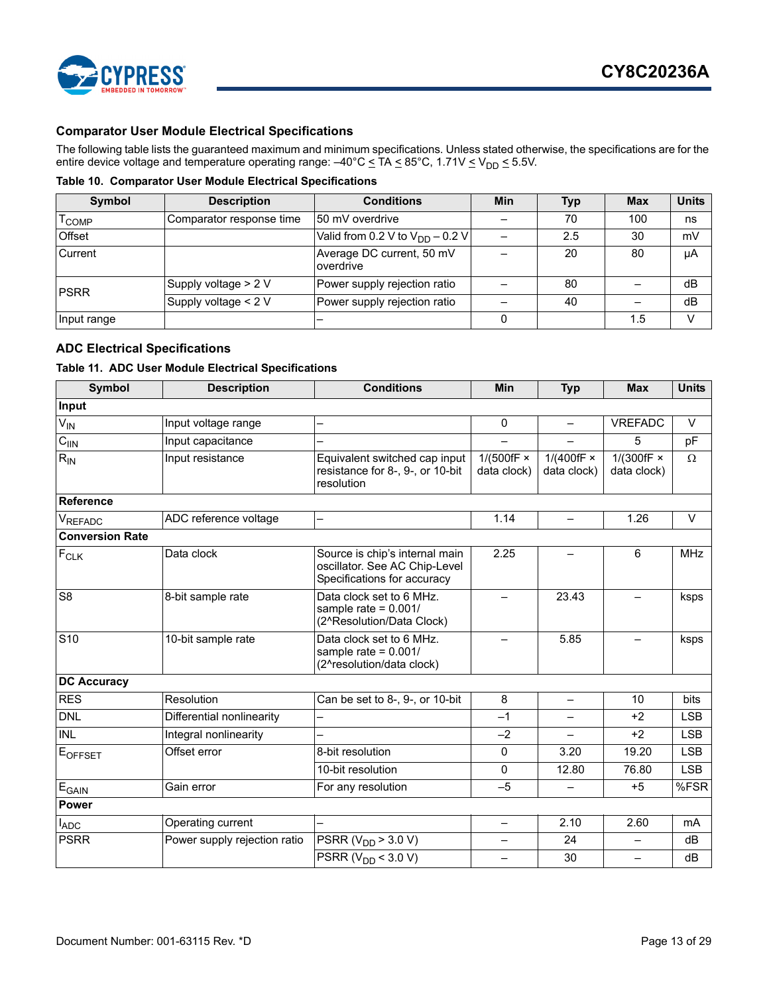

### <span id="page-12-0"></span>**Comparator User Module Electrical Specifications**

The following table lists the guaranteed maximum and minimum specifications. Unless stated otherwise, the specifications are for the entire device voltage and temperature operating range:  $-40^{\circ}$ C  $\leq$  TA  $\leq$  85°C, 1.71V  $\leq$  V<sub>DD</sub>  $\leq$  5.5V.

**Table 10. Comparator User Module Electrical Specifications**

| Symbol            | <b>Description</b>       | <b>Conditions</b>                      | Min | <b>Typ</b> | <b>Max</b> | <b>Units</b> |
|-------------------|--------------------------|----------------------------------------|-----|------------|------------|--------------|
| l <sub>COMP</sub> | Comparator response time | 150 mV overdrive                       |     | 70         | 100        | ns           |
| Offset            |                          | Valid from 0.2 V to $V_{DD}$ – 0.2 V   |     | 2.5        | 30         | mV           |
| Current           |                          | Average DC current, 50 mV<br>overdrive |     | 20         | 80         | μA           |
| <b>IPSRR</b>      | Supply voltage $> 2$ V   | Power supply rejection ratio           |     | 80         |            | dB           |
|                   | Supply voltage < 2 V     | Power supply rejection ratio           |     | 40         |            | dB           |
| Input range       |                          |                                        |     |            | 1.5        | v            |

### <span id="page-12-1"></span>**ADC Electrical Specifications**

#### **Table 11. ADC User Module Electrical Specifications**

| <b>Symbol</b>          | <b>Description</b>           | <b>Conditions</b>                                                                              | Min                                 | <b>Typ</b>                       | <b>Max</b>                       | <b>Units</b> |
|------------------------|------------------------------|------------------------------------------------------------------------------------------------|-------------------------------------|----------------------------------|----------------------------------|--------------|
| Input                  |                              |                                                                                                |                                     |                                  |                                  |              |
| $V_{IN}$               | Input voltage range          |                                                                                                | $\mathbf{0}$                        | $\overline{\phantom{0}}$         | <b>VREFADC</b>                   | $\vee$       |
| $C_{\text{IIN}}$       | Input capacitance            |                                                                                                | $\overline{\phantom{0}}$            | $\equiv$                         | 5                                | pF           |
| $R_{IN}$               | Input resistance             | Equivalent switched cap input<br>resistance for 8-, 9-, or 10-bit<br>resolution                | $1/(500$ fF $\times$<br>data clock) | 1/(400fF $\times$<br>data clock) | 1/(300fF $\times$<br>data clock) | Ω            |
| Reference              |                              |                                                                                                |                                     |                                  |                                  |              |
| VREFADC                | ADC reference voltage        | —                                                                                              | 1.14                                | $\qquad \qquad -$                | 1.26                             | $\vee$       |
| <b>Conversion Rate</b> |                              |                                                                                                |                                     |                                  |                                  |              |
| $F_{CLK}$              | Data clock                   | Source is chip's internal main<br>oscillator. See AC Chip-Level<br>Specifications for accuracy | 2.25                                |                                  | 6                                | <b>MHz</b>   |
| $\overline{\text{S8}}$ | 8-bit sample rate            | Data clock set to 6 MHz.<br>sample rate = $0.001/$<br>(2^Resolution/Data Clock)                |                                     | 23.43                            |                                  | ksps         |
| S10                    | 10-bit sample rate           | Data clock set to 6 MHz.<br>sample rate = $0.001/$<br>(2^resolution/data clock)                |                                     | 5.85                             |                                  | ksps         |
| <b>DC Accuracy</b>     |                              |                                                                                                |                                     |                                  |                                  |              |
| <b>RES</b>             | Resolution                   | Can be set to 8-, 9-, or 10-bit                                                                | 8                                   |                                  | 10                               | bits         |
| <b>DNL</b>             | Differential nonlinearity    |                                                                                                | $-1$                                | $\equiv$                         | $+2$                             | <b>LSB</b>   |
| <b>INL</b>             | Integral nonlinearity        | $\overline{\phantom{0}}$                                                                       | $-2$                                | $\qquad \qquad -$                | $+2$                             | <b>LSB</b>   |
| EOFFSET                | Offset error                 | 8-bit resolution                                                                               | $\Omega$                            | 3.20                             | 19.20                            | <b>LSB</b>   |
|                        |                              | 10-bit resolution                                                                              | $\Omega$                            | 12.80                            | 76.80                            | <b>LSB</b>   |
| $E_{\text{GAIN}}$      | Gain error                   | For any resolution                                                                             | $-5$                                | $\equiv$                         | $+5$                             | %FSR         |
| <b>Power</b>           |                              |                                                                                                |                                     |                                  |                                  |              |
| $I_{ADC}$              | Operating current            | —                                                                                              | $\overline{\phantom{0}}$            | 2.10                             | 2.60                             | mA           |
| <b>PSRR</b>            | Power supply rejection ratio | PSRR ( $V_{DD}$ > 3.0 V)                                                                       | $\overline{\phantom{0}}$            | 24                               | $\overline{\phantom{0}}$         | dB           |
|                        |                              | <b>PSRR</b> ( $V_{DD}$ < 3.0 V)                                                                | $\overline{\phantom{0}}$            | 30                               | $\overline{\phantom{0}}$         | dB           |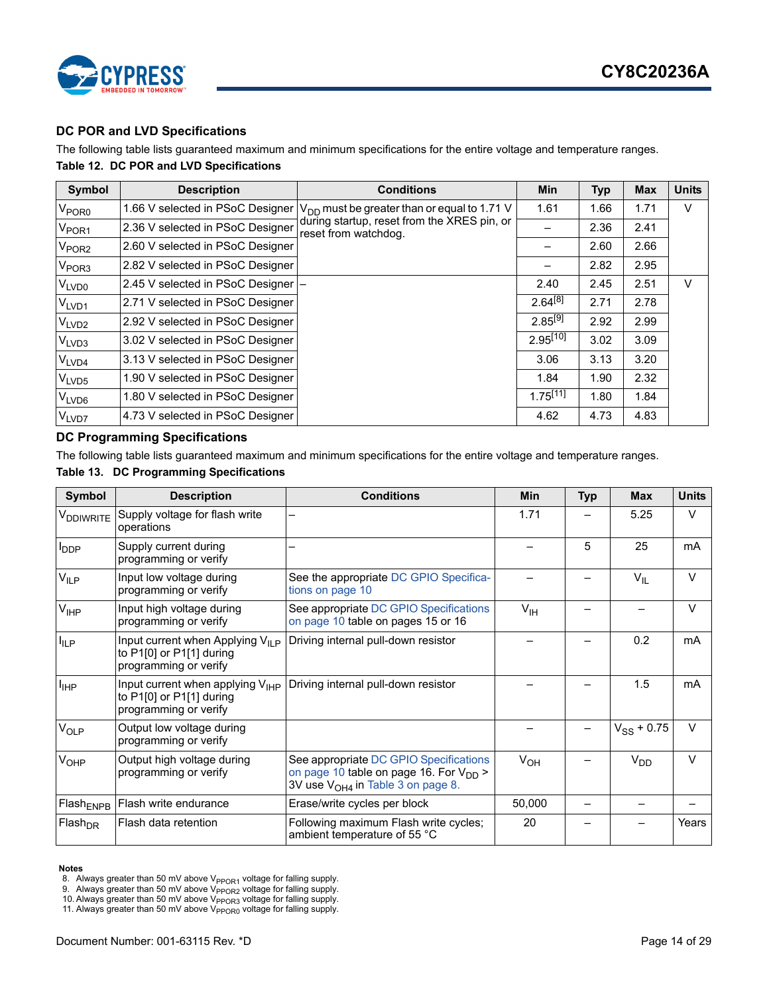

### <span id="page-13-0"></span>**DC POR and LVD Specifications**

The following table lists guaranteed maximum and minimum specifications for the entire voltage and temperature ranges. **Table 12. DC POR and LVD Specifications**

| Symbol            | <b>Description</b>                 | <b>Conditions</b>                                                                  | Min           | Typ  | <b>Max</b> | <b>Units</b> |
|-------------------|------------------------------------|------------------------------------------------------------------------------------|---------------|------|------------|--------------|
| V <sub>POR0</sub> |                                    | 1.66 V selected in PSoC Designer $ V_{DD}$ must be greater than or equal to 1.71 V | 1.61          | 1.66 | 1.71       | V            |
| V <sub>POR1</sub> | 2.36 V selected in PSoC Designer   | during startup, reset from the XRES pin, or<br>reset from watchdog.                |               | 2.36 | 2.41       |              |
| $V_{\text{POR2}}$ | 2.60 V selected in PSoC Designer   |                                                                                    |               | 2.60 | 2.66       |              |
| V <sub>POR3</sub> | 2.82 V selected in PSoC Designer   |                                                                                    |               | 2.82 | 2.95       |              |
| $V_{LVD0}$        | 2.45 V selected in PSoC Designer - |                                                                                    | 2.40          | 2.45 | 2.51       | V            |
| V <sub>LVD1</sub> | 2.71 V selected in PSoC Designer   |                                                                                    | $2.64^{[8]}$  | 2.71 | 2.78       |              |
| V <sub>LVD2</sub> | 2.92 V selected in PSoC Designer   |                                                                                    | $2.85^{[9]}$  | 2.92 | 2.99       |              |
| V <sub>LVD3</sub> | 3.02 V selected in PSoC Designer   |                                                                                    | $2.95^{[10]}$ | 3.02 | 3.09       |              |
| V <sub>LVD4</sub> | 3.13 V selected in PSoC Designer   |                                                                                    | 3.06          | 3.13 | 3.20       |              |
| VLVD <sub>5</sub> | 1.90 V selected in PSoC Designer   |                                                                                    | 1.84          | 1.90 | 2.32       |              |
| $V_{LVD6}$        | 1.80 V selected in PSoC Designer   |                                                                                    | $1.75^{[11]}$ | 1.80 | 1.84       |              |
| V <sub>LVD7</sub> | 4.73 V selected in PSoC Designer   |                                                                                    | 4.62          | 4.73 | 4.83       |              |

### <span id="page-13-1"></span>**DC Programming Specifications**

The following table lists guaranteed maximum and minimum specifications for the entire voltage and temperature ranges. **Table 13. DC Programming Specifications**

| <b>Symbol</b>           | <b>Description</b>                                                                               | <b>Conditions</b>                                                                                                                             | Min             | <b>Typ</b> | <b>Max</b>      | <b>Units</b> |
|-------------------------|--------------------------------------------------------------------------------------------------|-----------------------------------------------------------------------------------------------------------------------------------------------|-----------------|------------|-----------------|--------------|
| V <sub>DDIWRITE</sub>   | Supply voltage for flash write<br>operations                                                     |                                                                                                                                               | 1.71            |            | 5.25            | $\vee$       |
| <b>I</b> <sub>DDP</sub> | Supply current during<br>programming or verify                                                   |                                                                                                                                               |                 | 5          | 25              | mA           |
| $V_{ILP}$               | Input low voltage during<br>programming or verify                                                | See the appropriate DC GPIO Specifica-<br>tions on page 10                                                                                    |                 |            | $V_{IL}$        | $\vee$       |
| $V_{IHP}$               | Input high voltage during<br>programming or verify                                               | See appropriate DC GPIO Specifications<br>on page 10 table on pages 15 or 16                                                                  | $V_{\text{IH}}$ |            |                 | $\vee$       |
| $I_{ILP}$               | Input current when Applying $V_{II}$ $_P$<br>to P1[0] or P1[1] during<br>programming or verify   | Driving internal pull-down resistor                                                                                                           |                 |            | 0.2             | mA           |
| $I_{\text{IHP}}$        | Input current when applying $V_{\text{HP}}$<br>to P1[0] or P1[1] during<br>programming or verify | Driving internal pull-down resistor                                                                                                           |                 |            | 1.5             | mA           |
| $V_{OLP}$               | Output low voltage during<br>programming or verify                                               |                                                                                                                                               |                 |            | $V_{SS}$ + 0.75 | $\vee$       |
| $V_{OHP}$               | Output high voltage during<br>programming or verify                                              | See appropriate DC GPIO Specifications<br>on page 10 table on page 16. For V <sub>DD</sub> ><br>3V use V <sub>OH4</sub> in Table 3 on page 8. | $V_{OH}$        |            | V <sub>DD</sub> | $\vee$       |
| Flash <sub>ENPB</sub>   | Flash write endurance                                                                            | Erase/write cycles per block                                                                                                                  | 50,000          |            |                 |              |
| $Flash_{DR}$            | Flash data retention                                                                             | Following maximum Flash write cycles;<br>ambient temperature of 55 °C                                                                         | 20              |            |                 | Years        |

#### **Notes**

<span id="page-13-3"></span>9. Always greater than 50 mV above V<sub>PPOR2</sub> voltage for falling supply.<br>10. Always greater than 50 mV above V<sub>PPOR3</sub> voltage for falling supply.<br>11. Always greater than 50 mV above V<sub>PPOR0</sub> voltage for falling supply.

<span id="page-13-2"></span><sup>8.</sup> Always greater than 50 mV above V<sub>PPOR1</sub> voltage for falling supply.

<span id="page-13-4"></span>

<span id="page-13-5"></span>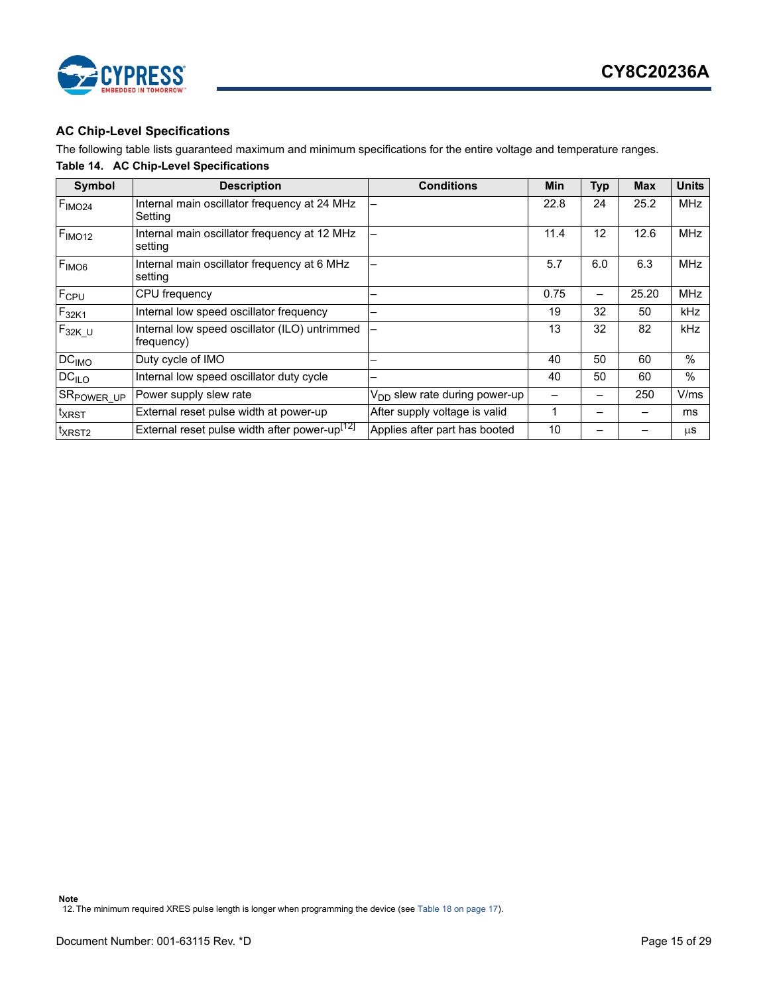



### <span id="page-14-0"></span>**AC Chip-Level Specifications**

The following table lists guaranteed maximum and minimum specifications for the entire voltage and temperature ranges.

### **Table 14. AC Chip-Level Specifications**

<span id="page-14-1"></span>

| Symbol                 | <b>Description</b>                                          | <b>Conditions</b>                         | Min  | <b>Typ</b> | <b>Max</b> | <b>Units</b> |
|------------------------|-------------------------------------------------------------|-------------------------------------------|------|------------|------------|--------------|
| F <sub>IMO24</sub>     | Internal main oscillator frequency at 24 MHz<br>Setting     |                                           | 22.8 | 24         | 25.2       | <b>MHz</b>   |
| F <sub>IMO12</sub>     | Internal main oscillator frequency at 12 MHz<br>setting     |                                           | 11.4 | 12         | 12.6       | <b>MHz</b>   |
| F <sub>IMOG</sub>      | Internal main oscillator frequency at 6 MHz<br>setting      |                                           | 5.7  | 6.0        | 6.3        | <b>MHz</b>   |
| F <sub>CPU</sub>       | CPU frequency                                               |                                           | 0.75 |            | 25.20      | <b>MHz</b>   |
| $F_{32K1}$             | Internal low speed oscillator frequency                     |                                           | 19   | 32         | 50         | <b>kHz</b>   |
| $F_{32K_U}$            | Internal low speed oscillator (ILO) untrimmed<br>frequency) |                                           | 13   | 32         | 82         | kHz          |
| DC <sub>IMO</sub>      | Duty cycle of IMO                                           |                                           | 40   | 50         | 60         | %            |
| DC <sub>ILO</sub>      | Internal low speed oscillator duty cycle                    |                                           | 40   | 50         | 60         | $\%$         |
| SR <sub>POWER_UP</sub> | Power supply slew rate                                      | V <sub>DD</sub> slew rate during power-up |      |            | 250        | V/ms         |
| <sup>t</sup> xrst      | External reset pulse width at power-up                      | After supply voltage is valid             | 1    |            |            | ms           |
| t <sub>XRST2</sub>     | External reset pulse width after power-up <sup>[12]</sup>   | Applies after part has booted             | 10   |            |            | μS           |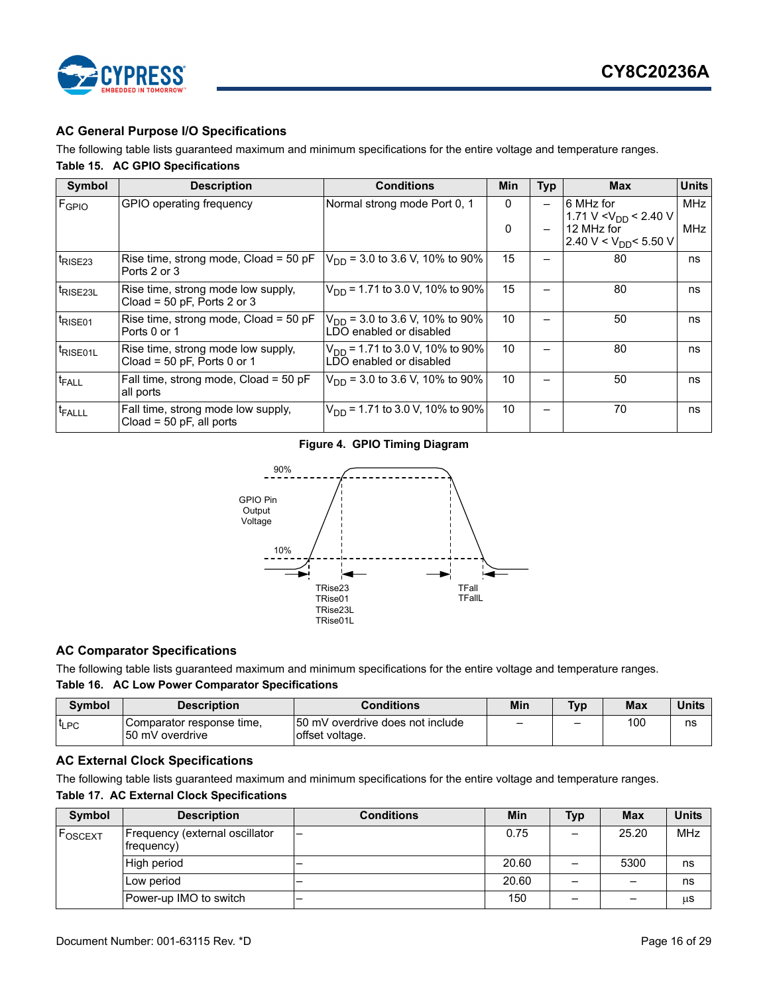

### <span id="page-15-0"></span>**AC General Purpose I/O Specifications**

The following table lists guaranteed maximum and minimum specifications for the entire voltage and temperature ranges. **Table 15. AC GPIO Specifications**

| Symbol                          | <b>Description</b>                                                  | <b>Conditions</b>                                                     | <b>Min</b>   | <b>Typ</b> | <b>Max</b>                                      | <b>Units</b> |
|---------------------------------|---------------------------------------------------------------------|-----------------------------------------------------------------------|--------------|------------|-------------------------------------------------|--------------|
| FGPIO                           | GPIO operating frequency                                            | Normal strong mode Port 0, 1                                          | $\mathbf{0}$ |            | 6 MHz for<br>1.71 V < $V_{DD}$ < 2.40 V         | <b>MHz</b>   |
|                                 |                                                                     |                                                                       | 0            |            | 12 MHz for<br>2.40 V < V <sub>DD</sub> < 5.50 V | MHz          |
| <sup>t</sup> RISE <sub>23</sub> | Rise time, strong mode, $Cload = 50 pF$<br>Ports 2 or 3             | $V_{DD}$ = 3.0 to 3.6 V, 10% to 90%                                   | 15           |            | 80                                              | ns           |
| t <sub>RISE23L</sub>            | Rise time, strong mode low supply,<br>Cload = $50$ pF, Ports 2 or 3 | $V_{DD}$ = 1.71 to 3.0 V, 10% to 90%                                  | 15           |            | 80                                              | ns           |
| t <sub>RISE01</sub>             | Rise time, strong mode, Cload = 50 pF<br>Ports 0 or 1               | $V_{\text{DD}}$ = 3.0 to 3.6 V, 10% to 90%<br>LDO enabled or disabled | 10           |            | 50                                              | ns           |
| t <sub>RISE01L</sub>            | Rise time, strong mode low supply,<br>Cload = 50 pF, Ports 0 or 1   | $V_{DD}$ = 1.71 to 3.0 V, 10% to 90%<br>LDO enabled or disabled       | 10           |            | 80                                              | ns           |
| t <sub>FALL</sub>               | Fall time, strong mode, Cload = 50 pF<br>all ports                  | $V_{DD}$ = 3.0 to 3.6 V, 10% to 90%                                   | 10           |            | 50                                              | ns           |
| I <sup>t</sup> FALLL            | Fall time, strong mode low supply,<br>Cload = $50$ pF, all ports    | $V_{DD}$ = 1.71 to 3.0 V, 10% to 90%                                  | 10           |            | 70                                              | ns           |

### **Figure 4. GPIO Timing Diagram**



### <span id="page-15-1"></span>**AC Comparator Specifications**

The following table lists guaranteed maximum and minimum specifications for the entire voltage and temperature ranges.

### **Table 16. AC Low Power Comparator Specifications**

| <b>Symbol</b>    | <b>Description</b>                            | <b>Conditions</b>                                    | Min | TVD | <b>Max</b> | <b>Units</b> |
|------------------|-----------------------------------------------|------------------------------------------------------|-----|-----|------------|--------------|
| <sup>I</sup> LPC | Comparator response time.<br>150 mV overdrive | 150 mV overdrive does not include<br>offset voltage. |     |     | 100        | ns           |

### <span id="page-15-2"></span>**AC External Clock Specifications**

The following table lists guaranteed maximum and minimum specifications for the entire voltage and temperature ranges.

### **Table 17. AC External Clock Specifications**

| Symbol  | <b>Description</b>                           | <b>Conditions</b> | <b>Min</b> | <b>Typ</b> | <b>Max</b> | <b>Units</b> |
|---------|----------------------------------------------|-------------------|------------|------------|------------|--------------|
| FOSCEXT | Frequency (external oscillator<br>frequency) |                   | 0.75       |            | 25.20      | MHz          |
|         | High period                                  |                   | 20.60      | —          | 5300       | ns           |
|         | Low period                                   |                   | 20.60      |            |            | ns           |
|         | Power-up IMO to switch                       |                   | 150        | -          |            | μS           |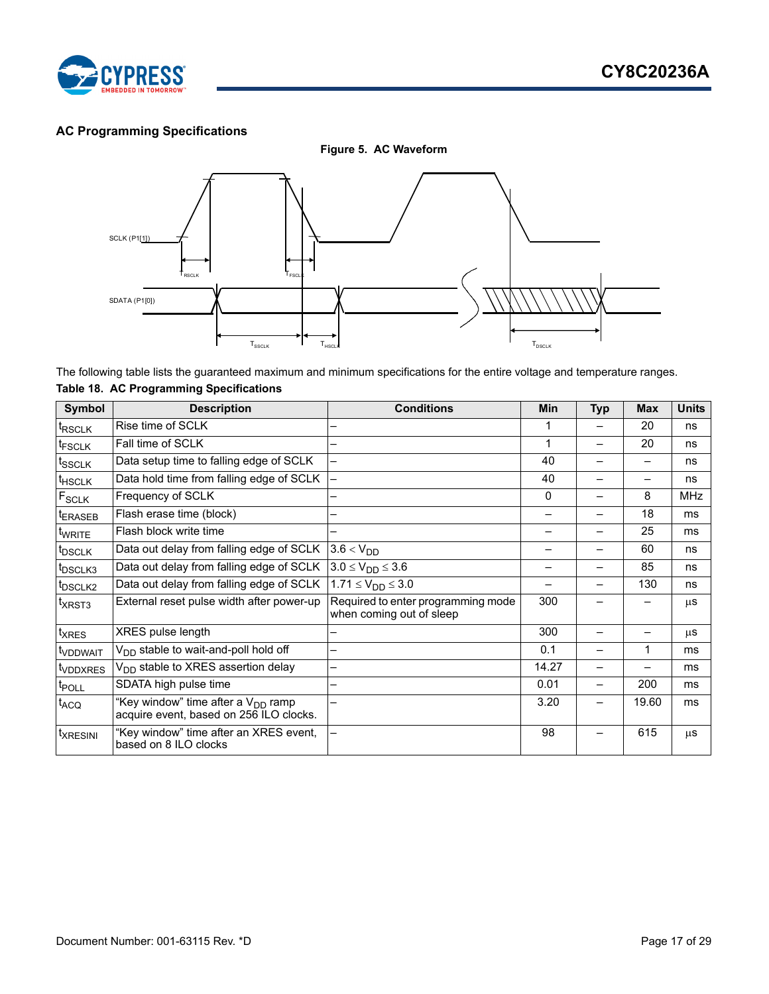

### <span id="page-16-0"></span>**AC Programming Specifications**

**Figure 5. AC Waveform**



The following table lists the guaranteed maximum and minimum specifications for the entire voltage and temperature ranges.

### <span id="page-16-1"></span>**Table 18. AC Programming Specifications**

| Symbol                 | <b>Description</b>                                                                        | <b>Conditions</b>                                              | <b>Min</b> | <b>Typ</b> | <b>Max</b> | <b>Units</b> |
|------------------------|-------------------------------------------------------------------------------------------|----------------------------------------------------------------|------------|------------|------------|--------------|
| t <sub>RSCLK</sub>     | Rise time of SCLK                                                                         |                                                                |            |            | 20         | ns           |
| <sup>t</sup> FSCLK     | Fall time of SCLK                                                                         | -                                                              |            |            | 20         | ns           |
| t <sub>SSCLK</sub>     | Data setup time to falling edge of SCLK                                                   | $\overline{\phantom{0}}$                                       | 40         |            |            | ns           |
| <sup>t</sup> HSCLK     | Data hold time from falling edge of SCLK                                                  |                                                                | 40         |            | —          | ns           |
| $F_{SCLK}$             | Frequency of SCLK                                                                         |                                                                | 0          |            | 8          | <b>MHz</b>   |
| t <sub>ERASEB</sub>    | Flash erase time (block)                                                                  |                                                                |            |            | 18         | ms           |
| twrite                 | Flash block write time                                                                    | -                                                              |            |            | 25         | ms           |
| t <sub>DSCLK</sub>     | Data out delay from falling edge of SCLK                                                  | $3.6 < V_{DD}$                                                 |            |            | 60         | ns           |
| t <sub>DSCLK3</sub>    | Data out delay from falling edge of SCLK                                                  | $3.0 \le V_{DD} \le 3.6$                                       |            |            | 85         | ns           |
| t <sub>DSCLK2</sub>    | Data out delay from falling edge of SCLK                                                  | $1.71 \le V_{DD} \le 3.0$                                      |            |            | 130        | ns           |
| t <sub>XRST3</sub>     | External reset pulse width after power-up                                                 | Required to enter programming mode<br>when coming out of sleep | 300        |            |            | μS           |
| t <sub>XRES</sub>      | XRES pulse length                                                                         |                                                                | 300        |            |            | μS           |
| t <sub>VDDWAIT</sub>   | V <sub>DD</sub> stable to wait-and-poll hold off                                          | ▃                                                              | 0.1        |            | 1          | ms           |
| t <sub>VDDXRES</sub>   | V <sub>DD</sub> stable to XRES assertion delay                                            | —                                                              | 14.27      |            |            | ms           |
| t <sub>POLL</sub>      | SDATA high pulse time                                                                     | -                                                              | 0.01       |            | 200        | ms           |
| t <sub>ACQ</sub>       | "Key window" time after a V <sub>DD</sub> ramp<br>acquire event, based on 256 ILO clocks. | <u>.</u>                                                       | 3.20       |            | 19.60      | ms           |
| <i><b>TXRESINI</b></i> | "Key window" time after an XRES event,<br>based on 8 ILO clocks                           |                                                                | 98         |            | 615        | μS           |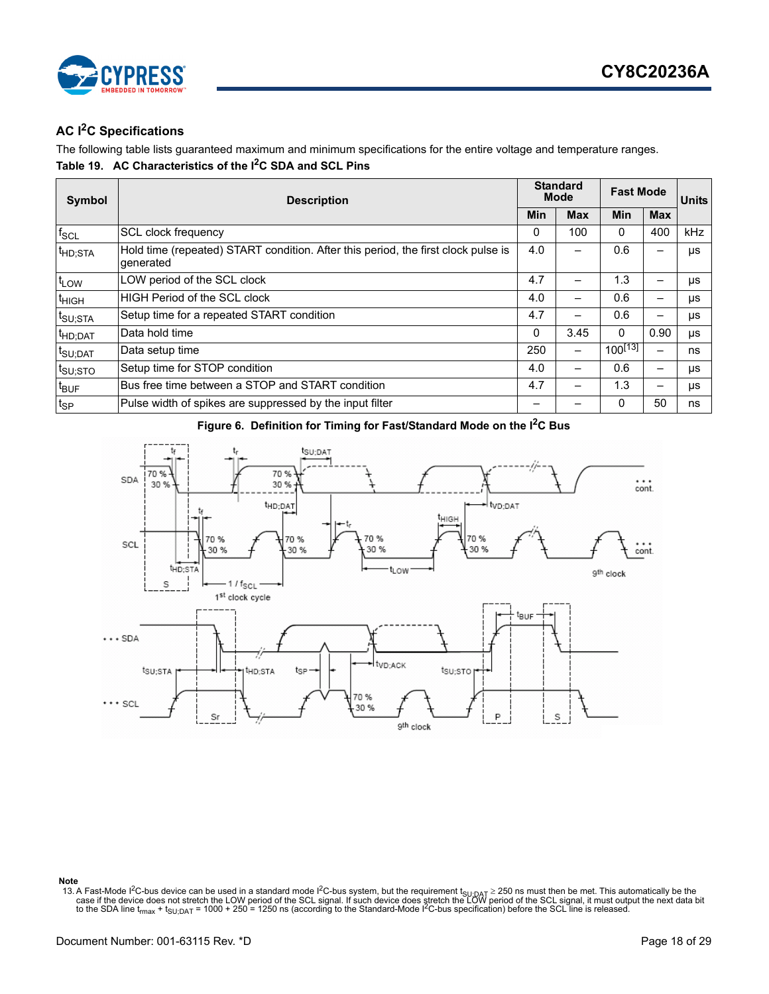

### <span id="page-17-0"></span>**AC I2C Specifications**

The following table lists guaranteed maximum and minimum specifications for the entire voltage and temperature ranges. **Table 19. AC Characteristics of the I2C SDA and SCL Pins**

| Symbol              | <b>Description</b>                                                                             |          | <b>Standard</b><br><b>Mode</b> |              | <b>Fast Mode</b> |            |
|---------------------|------------------------------------------------------------------------------------------------|----------|--------------------------------|--------------|------------------|------------|
|                     |                                                                                                |          | <b>Max</b>                     | Min          | <b>Max</b>       |            |
| $f_{SCL}$           | <b>SCL clock frequency</b>                                                                     | $\Omega$ | 100                            | 0            | 400              | <b>kHz</b> |
| <sup>t</sup> HD;STA | Hold time (repeated) START condition. After this period, the first clock pulse is<br>generated | 4.0      |                                | 0.6          |                  | μs         |
| $t_{LOW}$           | LOW period of the SCL clock                                                                    | 4.7      |                                | 1.3          |                  | μs         |
| <sup>t</sup> HIGH   | <b>HIGH Period of the SCL clock</b>                                                            | 4.0      |                                | 0.6          |                  | μs         |
| t <sub>SU;STA</sub> | Setup time for a repeated START condition                                                      | 4.7      |                                | 0.6          |                  | μs         |
| t <sub>HD;DAT</sub> | Data hold time                                                                                 | $\Omega$ | 3.45                           | $\mathbf{0}$ | 0.90             | μs         |
| t <sub>SU;DAT</sub> | Data setup time                                                                                | 250      | -                              | $100^{[13]}$ |                  | ns         |
| t <sub>SU;STO</sub> | Setup time for STOP condition                                                                  | 4.0      | -                              | 0.6          |                  | μs         |
| t <sub>BUF</sub>    | Bus free time between a STOP and START condition                                               | 4.7      |                                | 1.3          |                  | μs         |
| $t_{SP}$            | Pulse width of spikes are suppressed by the input filter                                       |          |                                | $\Omega$     | 50               | ns         |





#### **Note**

<span id="page-17-1"></span>13. A Fast-Mode I<sup>2</sup>C-bus device can be used in a standard mode I<sup>2</sup>C-bus system, but the requirement  $t_{\text{SU:DAT}} \ge 250$  ns must then be met. This automatically be the case if the device does not stretch the LOW period of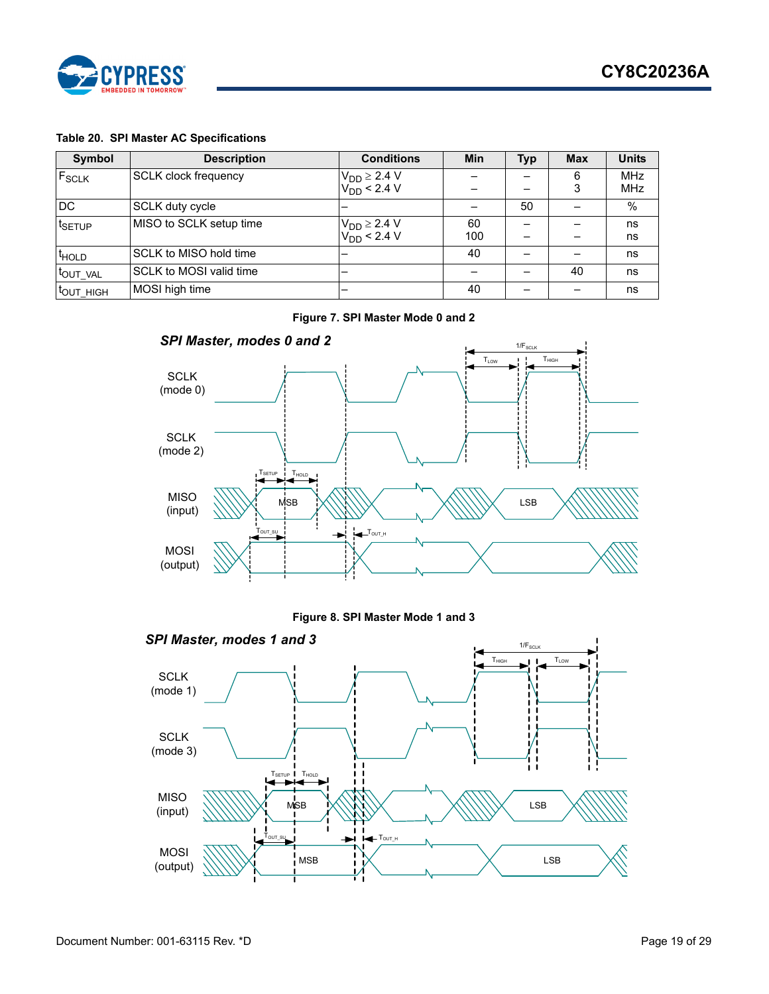

### **Table 20. SPI Master AC Specifications**

| Symbol                | <b>Description</b>          | <b>Conditions</b>                      | <b>Min</b> | <b>Typ</b> | <b>Max</b> | <b>Units</b> |
|-----------------------|-----------------------------|----------------------------------------|------------|------------|------------|--------------|
| F <sub>SCLK</sub>     | <b>SCLK clock frequency</b> | $V_{DD} \ge 2.4 V$<br>$V_{DD} < 2.4 V$ |            |            | 6          | <b>MHz</b>   |
|                       |                             |                                        |            |            | 3          | <b>MHz</b>   |
| DC                    | SCLK duty cycle             |                                        |            | 50         |            | $\%$         |
| t <sub>SETUP</sub>    | MISO to SCLK setup time     | $V_{DD} \ge 2.4 V$<br>$V_{DD} < 2.4 V$ | 60         |            |            | ns           |
|                       |                             |                                        | 100        |            |            | ns           |
| <sup>t</sup> HOLD     | SCLK to MISO hold time      |                                        | 40         |            |            | ns           |
| t <sub>OUT</sub> VAL  | SCLK to MOSI valid time     |                                        |            |            | 40         | ns           |
| t <sub>out_HIGH</sub> | MOSI high time              |                                        | 40         |            |            | ns           |

**Figure 7. SPI Master Mode 0 and 2**



**Figure 8. SPI Master Mode 1 and 3**

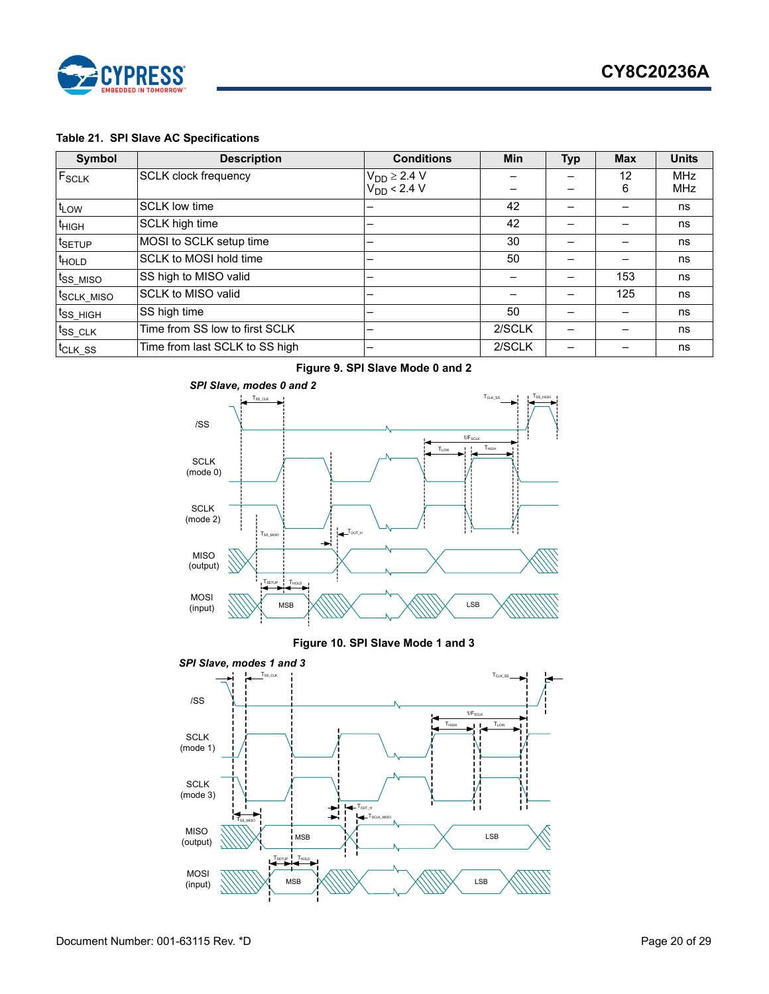

### **Table 21. SPI Slave AC Specifications**

| Symbol                  | <b>Description</b>             | <b>Conditions</b>   | Min    | <b>Typ</b> | <b>Max</b> | <b>Units</b> |
|-------------------------|--------------------------------|---------------------|--------|------------|------------|--------------|
| F <sub>SCLK</sub>       | <b>SCLK clock frequency</b>    | $V_{DD} \geq 2.4 V$ |        |            | 12         | <b>MHz</b>   |
|                         |                                | $V_{DD}$ < 2.4 V    |        |            | 6          | <b>MHz</b>   |
| t <sub>LOW</sub>        | <b>SCLK low time</b>           |                     | 42     |            |            | ns           |
| t <sub>HIGH</sub>       | SCLK high time                 |                     | 42     |            |            | ns           |
| t <sub>SETUP</sub>      | MOSI to SCLK setup time        |                     | 30     |            |            | ns           |
| <sup>t</sup> HOLD       | SCLK to MOSI hold time         |                     | 50     |            |            | ns           |
| t <sub>ss MISO</sub>    | SS high to MISO valid          |                     |        |            | 153        | ns           |
| t <sub>SCLK</sub> _MISO | SCLK to MISO valid             |                     |        |            | 125        | ns           |
| $ t_{SS_HIGH} $         | SS high time                   |                     | 50     |            |            | ns           |
| <sup>t</sup> ss_clk     | Time from SS low to first SCLK |                     | 2/SCLK |            |            | ns           |
| <sup>t</sup> CLK SS     | Time from last SCLK to SS high |                     | 2/SCLK |            |            | ns           |



### **Figure 10. SPI Slave Mode 1 and 3**

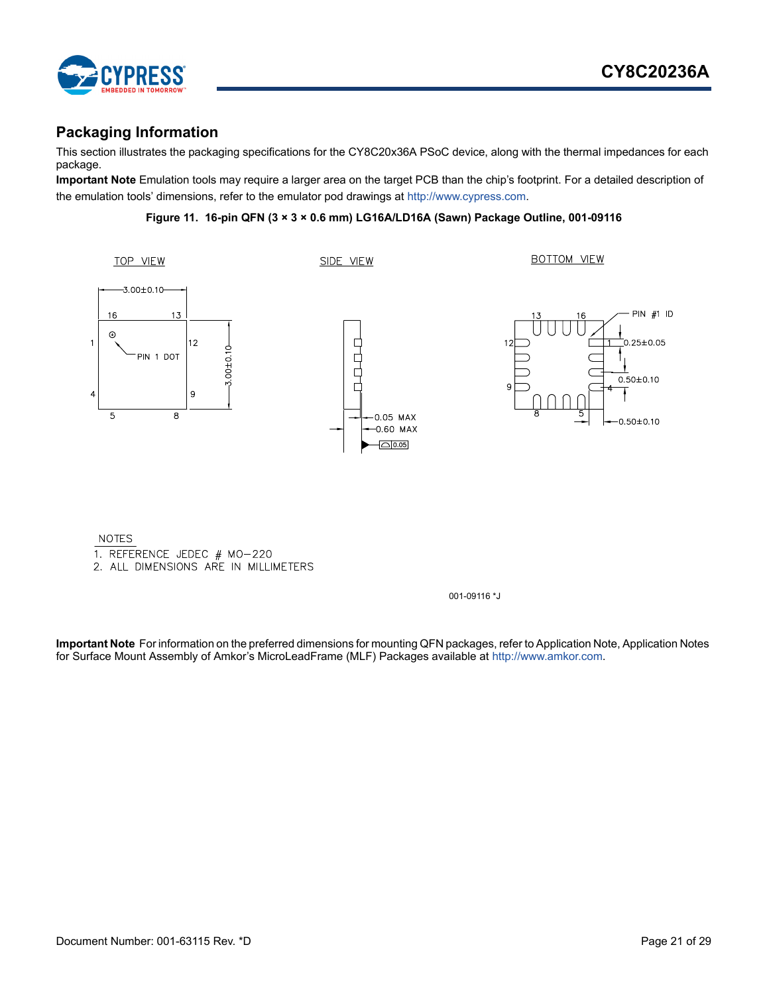

### <span id="page-20-0"></span>**Packaging Information**

This section illustrates the packaging specifications for the CY8C20x36A PSoC device, along with the thermal impedances for each package.

**Important Note** Emulation tools may require a larger area on the target PCB than the chip's footprint. For a detailed description of the emulation tools' dimensions, refer to the emulator pod drawings at<http://www.cypress.com.>

### **Figure 11. 16-pin QFN (3 × 3 × 0.6 mm) LG16A/LD16A (Sawn) Package Outline, 001-09116**



**NOTES** 

1. REFERENCE JEDEC # MO-220

2. ALL DIMENSIONS ARE IN MILLIMETERS

001-09116 \*J

**Important Note** For information on the preferred dimensions for mounting QFN packages, refer to Application Note, Application Notes for Surface Mount Assembly of Amkor's MicroLeadFrame (MLF) Packages available at [http://www.amkor.com.](http://www.amkor.com)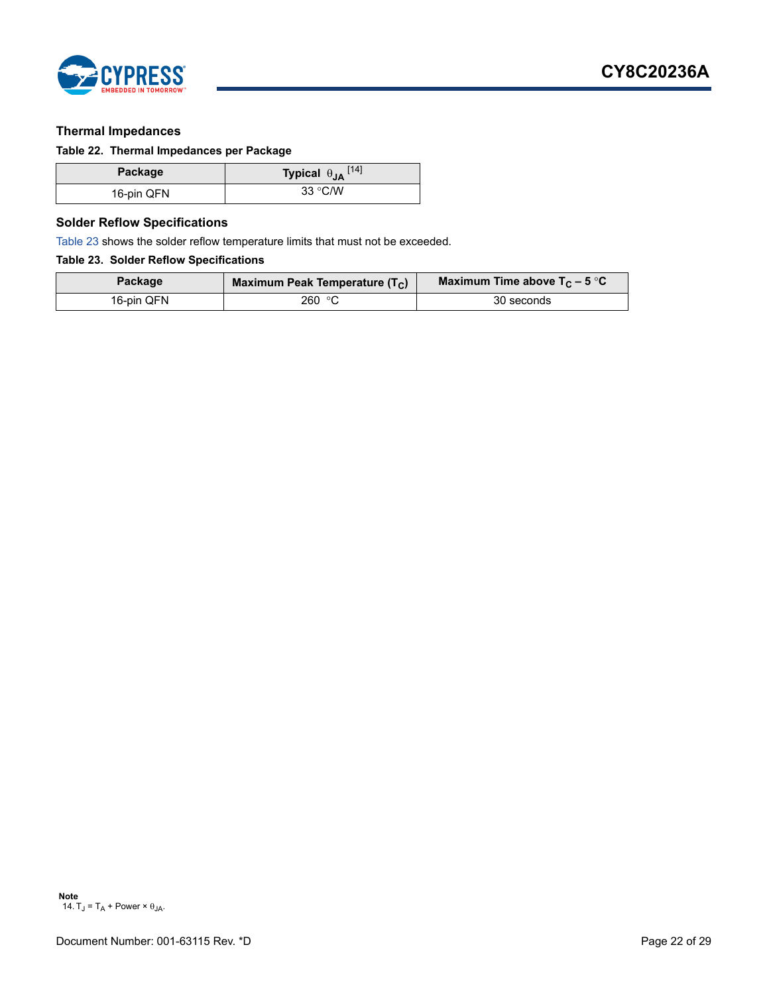

### <span id="page-21-0"></span>**Thermal Impedances**

### <span id="page-21-2"></span>**Table 22. Thermal Impedances per Package**

| Package    | Typical $\theta_{JA}$ <sup>[14]</sup> |
|------------|---------------------------------------|
| 16-pin QFN | 33 °C/W                               |

### <span id="page-21-1"></span>**Solder Reflow Specifications**

[Table 23](#page-21-3) shows the solder reflow temperature limits that must not be exceeded.

### <span id="page-21-3"></span>**Table 23. Solder Reflow Specifications**

| Package    | Maximum Peak Temperature $(T_C)$ | Maximum Time above $T_C$ – 5 °C |
|------------|----------------------------------|---------------------------------|
| 16-pin QFN | 260 °C                           | 30 seconds                      |

<span id="page-21-4"></span>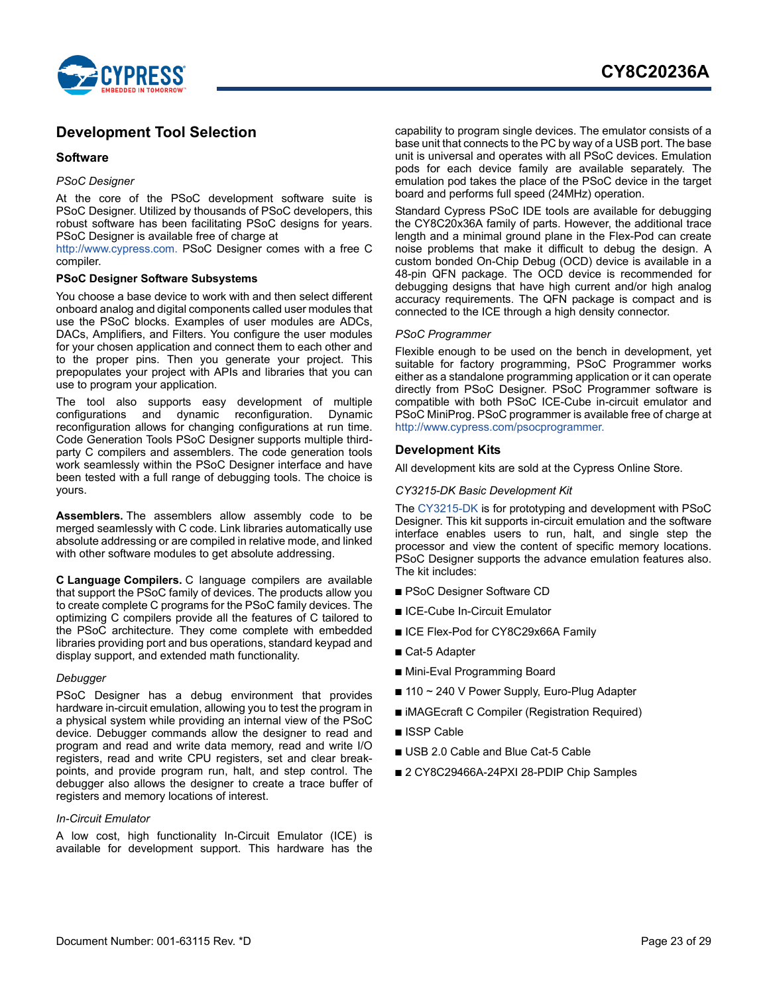

### <span id="page-22-0"></span>**Development Tool Selection**

#### <span id="page-22-1"></span>**Software**

#### *PSoC Designer*

At the core of the PSoC development software suite is PSoC Designer. Utilized by thousands of PSoC developers, this robust software has been facilitating PSoC designs for years. PSoC Designer is available free of charge at

[http://www.cypress.com.](http://www.cypress.com) PSoC Designer comes with a free C compiler.

#### **PSoC Designer Software Subsystems**

You choose a base device to work with and then select different onboard analog and digital components called user modules that use the PSoC blocks. Examples of user modules are ADCs, DACs, Amplifiers, and Filters. You configure the user modules for your chosen application and connect them to each other and to the proper pins. Then you generate your project. This prepopulates your project with APIs and libraries that you can use to program your application.

The tool also supports easy development of multiple configurations and dynamic reconfiguration. Dynamic reconfiguration allows for changing configurations at run time. Code Generation Tools PSoC Designer supports multiple thirdparty C compilers and assemblers. The code generation tools work seamlessly within the PSoC Designer interface and have been tested with a full range of debugging tools. The choice is yours.

**Assemblers.** The assemblers allow assembly code to be merged seamlessly with C code. Link libraries automatically use absolute addressing or are compiled in relative mode, and linked with other software modules to get absolute addressing.

**C Language Compilers.** C language compilers are available that support the PSoC family of devices. The products allow you to create complete C programs for the PSoC family devices. The optimizing C compilers provide all the features of C tailored to the PSoC architecture. They come complete with embedded libraries providing port and bus operations, standard keypad and display support, and extended math functionality.

#### *Debugger*

PSoC Designer has a debug environment that provides hardware in-circuit emulation, allowing you to test the program in a physical system while providing an internal view of the PSoC device. Debugger commands allow the designer to read and program and read and write data memory, read and write I/O registers, read and write CPU registers, set and clear breakpoints, and provide program run, halt, and step control. The debugger also allows the designer to create a trace buffer of registers and memory locations of interest.

#### *In-Circuit Emulator*

A low cost, high functionality In-Circuit Emulator (ICE) is available for development support. This hardware has the

capability to program single devices. The emulator consists of a base unit that connects to the PC by way of a USB port. The base unit is universal and operates with all PSoC devices. Emulation pods for each device family are available separately. The emulation pod takes the place of the PSoC device in the target board and performs full speed (24MHz) operation.

Standard Cypress PSoC IDE tools are available for debugging the CY8C20x36A family of parts. However, the additional trace length and a minimal ground plane in the Flex-Pod can create noise problems that make it difficult to debug the design. A custom bonded On-Chip Debug (OCD) device is available in a 48-pin QFN package. The OCD device is recommended for debugging designs that have high current and/or high analog accuracy requirements. The QFN package is compact and is connected to the ICE through a high density connector.

#### *PSoC Programmer*

Flexible enough to be used on the bench in development, yet suitable for factory programming, PSoC Programmer works either as a standalone programming application or it can operate directly from PSoC Designer. PSoC Programmer software is compatible with both PSoC ICE-Cube in-circuit emulator and PSoC MiniProg. PSoC programmer is available free of charge at [http://www.cypress.com/psocprogrammer.](http://www.cypress.com/psocprogrammer)

#### <span id="page-22-2"></span>**Development Kits**

All development kits are sold at the Cypress Online Store.

#### *CY3215-DK Basic Development Kit*

Th[e CY3215-DK](http://www.cypress.com/?rID=3411) is for prototyping and development with PSoC Designer. This kit supports in-circuit emulation and the software interface enables users to run, halt, and single step the processor and view the content of specific memory locations. PSoC Designer supports the advance emulation features also. The kit includes:

- PSoC Designer Software CD
- ICE-Cube In-Circuit Emulator
- ICE Flex-Pod for CY8C29x66A Family
- Cat-5 Adapter
- Mini-Eval Programming Board
- $\blacksquare$  110 ~ 240 V Power Supply, Euro-Plug Adapter
- iMAGEcraft C Compiler (Registration Required)
- ISSP Cable
- USB 2.0 Cable and Blue Cat-5 Cable
- 2 CY8C29466A-24PXI 28-PDIP Chip Samples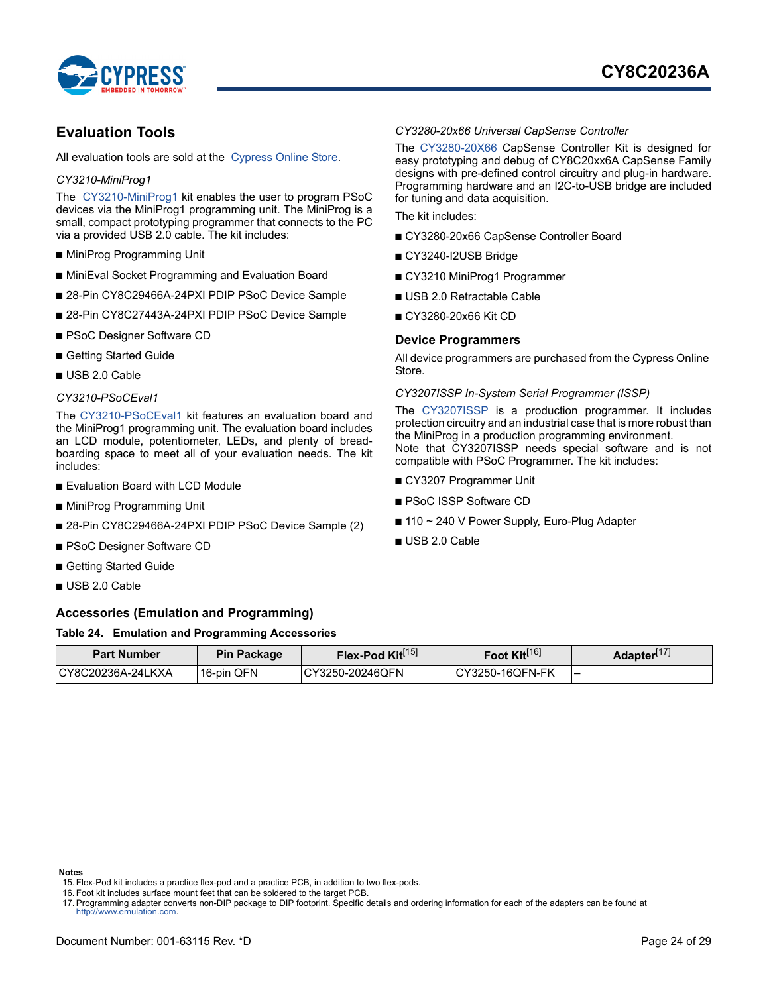

### <span id="page-23-0"></span>**Evaluation Tools**

All evaluation tools are sold at the [Cypress Online Store](http://www.cypress.com/?id=2218).

#### *CY3210-MiniProg1*

The [CY3210-MiniProg1](http://www.cypress.com/?rID=3412) kit enables the user to program PSoC devices via the MiniProg1 programming unit. The MiniProg is a small, compact prototyping programmer that connects to the PC via a provided USB 2.0 cable. The kit includes:

- MiniProg Programming Unit
- MiniEval Socket Programming and Evaluation Board
- 28-Pin CY8C29466A-24PXI PDIP PSoC Device Sample
- 28-Pin CY8C27443A-24PXI PDIP PSoC Device Sample
- PSoC Designer Software CD
- Getting Started Guide
- USB 2.0 Cable

#### *CY3210-PSoCEval1*

The [CY3210-PSoCEval1](http://www.cypress.com/?rID=2541) kit features an evaluation board and the MiniProg1 programming unit. The evaluation board includes an LCD module, potentiometer, LEDs, and plenty of breadboarding space to meet all of your evaluation needs. The kit includes:

- Evaluation Board with LCD Module
- MiniProg Programming Unit
- 28-Pin CY8C29466A-24PXI PDIP PSoC Device Sample (2)
- PSoC Designer Software CD
- Getting Started Guide
- USB 2.0 Cable

#### <span id="page-23-2"></span>**Accessories (Emulation and Programming)**

#### **Table 24. Emulation and Programming Accessories**

## **Part Number Pin Package Flex-Pod Kit**<sup>[[15\]](#page-23-3)</sup> **Foot Kit**<sup>[\[16](#page-23-4)]</sup> **Adapter**<sup>[\[17](#page-23-5)]</sup> CY8C20236A-24LKXA 16-pin QFN CY3250-20246QFN CY3250-16QFN-FK –

#### **Notes**

<span id="page-23-3"></span>15. Flex-Pod kit includes a practice flex-pod and a practice PCB, in addition to two flex-pods.

<span id="page-23-4"></span>16. Foot kit includes surface mount feet that can be soldered to the target PCB.

<span id="page-23-5"></span>17. Programming adapter converts non-DIP package to DIP footprint. Specific details and ordering information for each of the adapters can be found at <http://www.emulation.com>.

### *CY3280-20x66 Universal CapSense Controller*

The [CY3280-20X66](http://www.cypress.com/?rID=38222) CapSense Controller Kit is designed for easy prototyping and debug of CY8C20xx6A CapSense Family designs with pre-defined control circuitry and plug-in hardware. Programming hardware and an I2C-to-USB bridge are included for tuning and data acquisition.

The kit includes:

- CY3280-20x66 CapSense Controller Board
- CY3240-I2USB Bridge
- CY3210 MiniProg1 Programmer
- USB 2.0 Retractable Cable
- CY3280-20x66 Kit CD

#### <span id="page-23-1"></span>**Device Programmers**

All device programmers are purchased from the Cypress Online Store.

*CY3207ISSP In-System Serial Programmer (ISSP)*

Th[e CY3207ISSP](http://www.cypress.com/?rID=37658) is a production programmer. It includes protection circuitry and an industrial case that is more robust than the MiniProg in a production programming environment. Note that CY3207ISSP needs special software and is not compatible with PSoC Programmer. The kit includes:

- CY3207 Programmer Unit
- PSoC ISSP Software CD
- 110 ~ 240 V Power Supply, Euro-Plug Adapter
- USB 2.0 Cable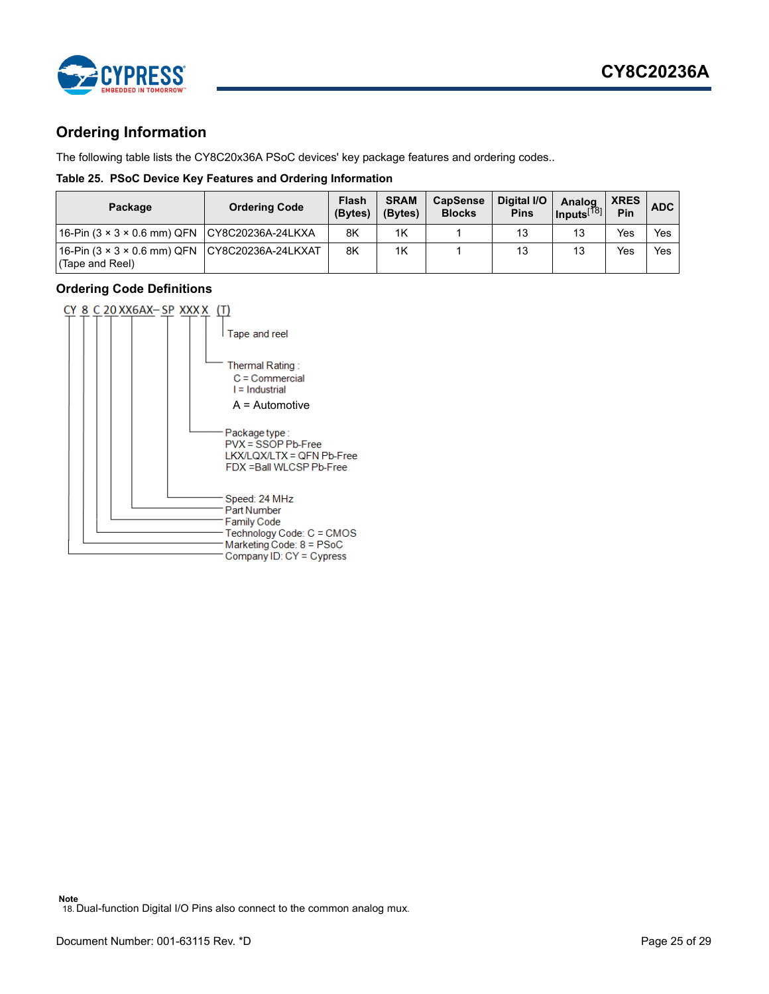

### <span id="page-24-0"></span>**Ordering Information**

The following table lists the CY8C20x36A PSoC devices' key package features and ordering codes..

### **Table 25. PSoC Device Key Features and Ordering Information**

| Package                                       | <b>Ordering Code</b> | Flash<br>(Bytes) | <b>SRAM</b><br>(Bytes) | <b>CapSense</b><br><b>Blocks</b> | Digital I/O<br><b>Pins</b> | Analog<br>$\vert$ Inputs $^{[78]}$ | <b>XRES</b><br><b>Pin</b> | <b>ADC</b> |
|-----------------------------------------------|----------------------|------------------|------------------------|----------------------------------|----------------------------|------------------------------------|---------------------------|------------|
| 16-Pin (3 × 3 × 0.6 mm) QFN CY8C20236A-24LKXA |                      | 8K               | 1K                     |                                  | 13                         | 13                                 | Yes                       | Yes        |
| (Tape and Reel)                               |                      | 8K               | 1K                     |                                  | 13                         | 13                                 | Yes                       | Yes        |

### <span id="page-24-1"></span>**Ordering Code Definitions**



<span id="page-24-2"></span>**Note** 18. Dual-function Digital I/O Pins also connect to the common analog mux.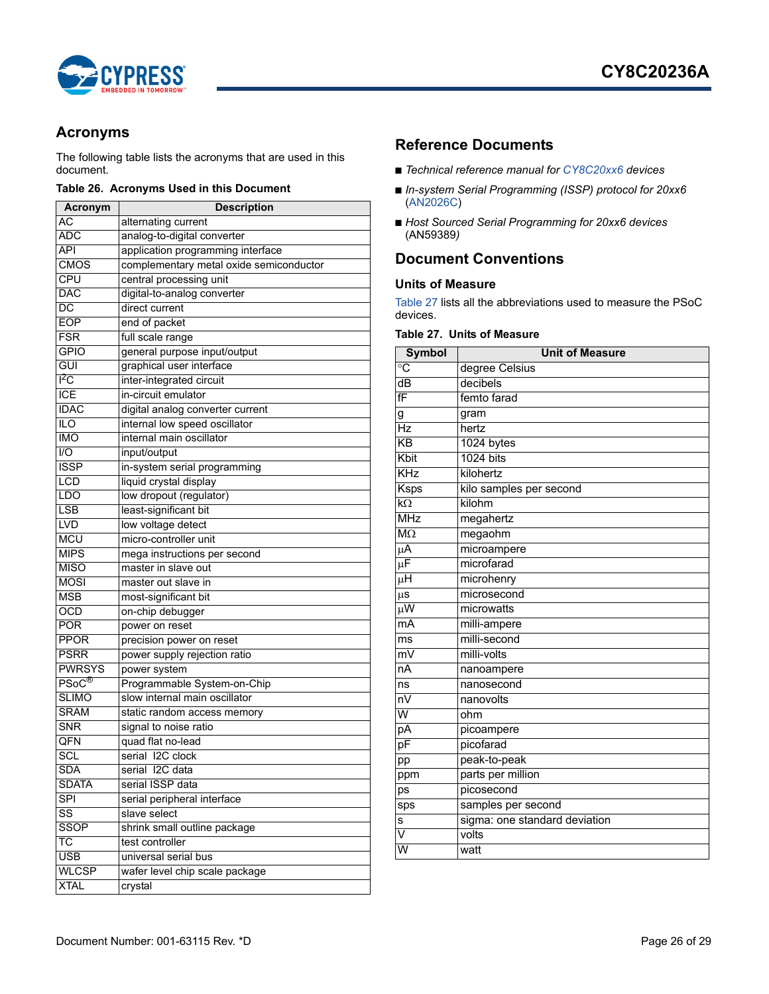

### <span id="page-25-0"></span>**Acronyms**

The following table lists the acronyms that are used in this document.

#### **Table 26. Acronyms Used in this Document**

| Acronym                   | <b>Description</b>                      |
|---------------------------|-----------------------------------------|
| АC                        | alternating current                     |
| <b>ADC</b>                | analog-to-digital converter             |
| $\overline{API}$          | application programming interface       |
| <b>CMOS</b>               | complementary metal oxide semiconductor |
| <b>CPU</b>                | central processing unit                 |
| <b>DAC</b>                | digital-to-analog converter             |
| DC                        | direct current                          |
| <b>EOP</b>                | end of packet                           |
| <b>FSR</b>                | full scale range                        |
| <b>GPIO</b>               | general purpose input/output            |
| GUI                       | graphical user interface                |
| I <sup>z</sup> C          | inter-integrated circuit                |
| <b>ICE</b>                | in-circuit emulator                     |
| <b>IDAC</b>               | digital analog converter current        |
| $\overline{10}$           | internal low speed oscillator           |
| <b>IMO</b>                | internal main oscillator                |
| 1/O                       | input/output                            |
| <b>ISSP</b>               | in-system serial programming            |
| <b>LCD</b>                | liquid crystal display                  |
| <b>LDO</b>                | low dropout (regulator)                 |
| LSB                       | least-significant bit                   |
| <b>LVD</b>                | low voltage detect                      |
| <b>MCU</b>                | micro-controller unit                   |
| <b>MIPS</b>               | mega instructions per second            |
| <b>MISO</b>               | master in slave out                     |
| <b>MOSI</b>               | master out slave in                     |
| <b>MSB</b>                | most-significant bit                    |
| <b>OCD</b>                | on-chip debugger                        |
| <b>POR</b>                | power on reset                          |
| <b>PPOR</b>               | precision power on reset                |
| <b>PSRR</b>               | power supply rejection ratio            |
| <b>PWRSYS</b>             | power system                            |
| $\mathsf{PSoC}^\circledR$ | Programmable System-on-Chip             |
| <b>SLIMO</b>              | slow internal main oscillator           |
| <b>SRAM</b>               | static random access memory             |
| <b>SNR</b>                | signal to noise ratio                   |
| QFN                       | quad flat no-lead                       |
| SCL                       | serial I2C clock                        |
| <b>SDA</b>                | serial I2C data                         |
| <b>SDATA</b>              | serial ISSP data                        |
| <b>SPI</b>                | serial peripheral interface             |
| SS                        | slave select                            |
| <b>SSOP</b>               | shrink small outline package            |
| ТC                        | test controller                         |
| <b>USB</b>                | universal serial bus                    |
| <b>WLCSP</b>              | wafer level chip scale package          |
| <b>XTAL</b>               | crystal                                 |

### <span id="page-25-1"></span>**Reference Documents**

- *Technical reference manual for CY8C20xx6 devices*
- *In-system Serial Programming (ISSP) protocol for 20xx6* ([AN2026C\)](http://www.cypress.com/?rID=40048)
- Host Sourced Serial Programming for 20xx6 devices (AN59389*)*

### <span id="page-25-2"></span>**Document Conventions**

### <span id="page-25-3"></span>**Units of Measure**

[Table 27](#page-25-4) lists all the abbreviations used to measure the PSoC devices.

### <span id="page-25-4"></span>**Table 27. Units of Measure**

| <b>Symbol</b>           | <b>Unit of Measure</b>        |
|-------------------------|-------------------------------|
| ்С                      | degree Celsius                |
| dB                      | decibels                      |
| fF                      | femto farad                   |
| g                       | gram                          |
| Hz                      | hertz                         |
| KB                      | 1024 bytes                    |
| Kbit                    | <b>1024 bits</b>              |
| KHz                     | kilohertz                     |
| <b>Ksps</b>             | kilo samples per second       |
| $\overline{k\Omega}$    | kilohm                        |
| <b>MHz</b>              | megahertz                     |
| $M\Omega$               | megaohm                       |
| μA                      | microampere                   |
| μF                      | microfarad                    |
| $\overline{\mu}$ H      | microhenry                    |
| $\mu$ s                 | microsecond                   |
| $\mu$ W                 | microwatts                    |
| mA                      | milli-ampere                  |
| ms                      | milli-second                  |
| $\overline{mv}$         | milli-volts                   |
| nA                      | nanoampere                    |
| ns                      | nanosecond                    |
| nV                      | nanovolts                     |
| W                       | ohm                           |
| pA                      | picoampere                    |
| pF                      | picofarad                     |
| pp                      | peak-to-peak                  |
| ppm                     | parts per million             |
| ps                      | picosecond                    |
| sps                     | samples per second            |
| s                       | sigma: one standard deviation |
| $\overline{\mathsf{v}}$ | volts                         |
| $\overline{\mathsf{w}}$ | watt                          |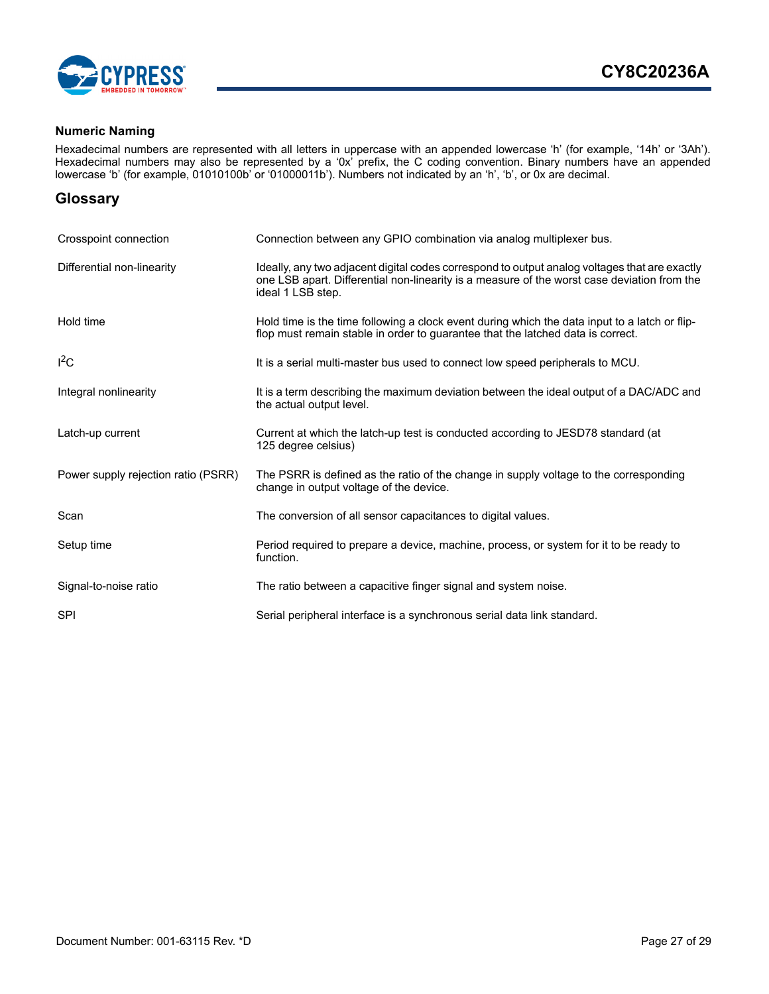

### <span id="page-26-0"></span>**Numeric Naming**

Hexadecimal numbers are represented with all letters in uppercase with an appended lowercase 'h' (for example, '14h' or '3Ah'). Hexadecimal numbers may also be represented by a '0x' prefix, the C coding convention. Binary numbers have an appended lowercase 'b' (for example, 01010100b' or '01000011b'). Numbers not indicated by an 'h', 'b', or 0x are decimal.

### <span id="page-26-1"></span>**Glossary**

| Crosspoint connection               | Connection between any GPIO combination via analog multiplexer bus.                                                                                                                                               |
|-------------------------------------|-------------------------------------------------------------------------------------------------------------------------------------------------------------------------------------------------------------------|
| Differential non-linearity          | Ideally, any two adjacent digital codes correspond to output analog voltages that are exactly<br>one LSB apart. Differential non-linearity is a measure of the worst case deviation from the<br>ideal 1 LSB step. |
| Hold time                           | Hold time is the time following a clock event during which the data input to a latch or flip-<br>flop must remain stable in order to guarantee that the latched data is correct.                                  |
| $I^2C$                              | It is a serial multi-master bus used to connect low speed peripherals to MCU.                                                                                                                                     |
| Integral nonlinearity               | It is a term describing the maximum deviation between the ideal output of a DAC/ADC and<br>the actual output level.                                                                                               |
| Latch-up current                    | Current at which the latch-up test is conducted according to JESD78 standard (at<br>125 degree celsius)                                                                                                           |
| Power supply rejection ratio (PSRR) | The PSRR is defined as the ratio of the change in supply voltage to the corresponding<br>change in output voltage of the device.                                                                                  |
| Scan                                | The conversion of all sensor capacitances to digital values.                                                                                                                                                      |
| Setup time                          | Period required to prepare a device, machine, process, or system for it to be ready to<br>function.                                                                                                               |
| Signal-to-noise ratio               | The ratio between a capacitive finger signal and system noise.                                                                                                                                                    |
| <b>SPI</b>                          | Serial peripheral interface is a synchronous serial data link standard.                                                                                                                                           |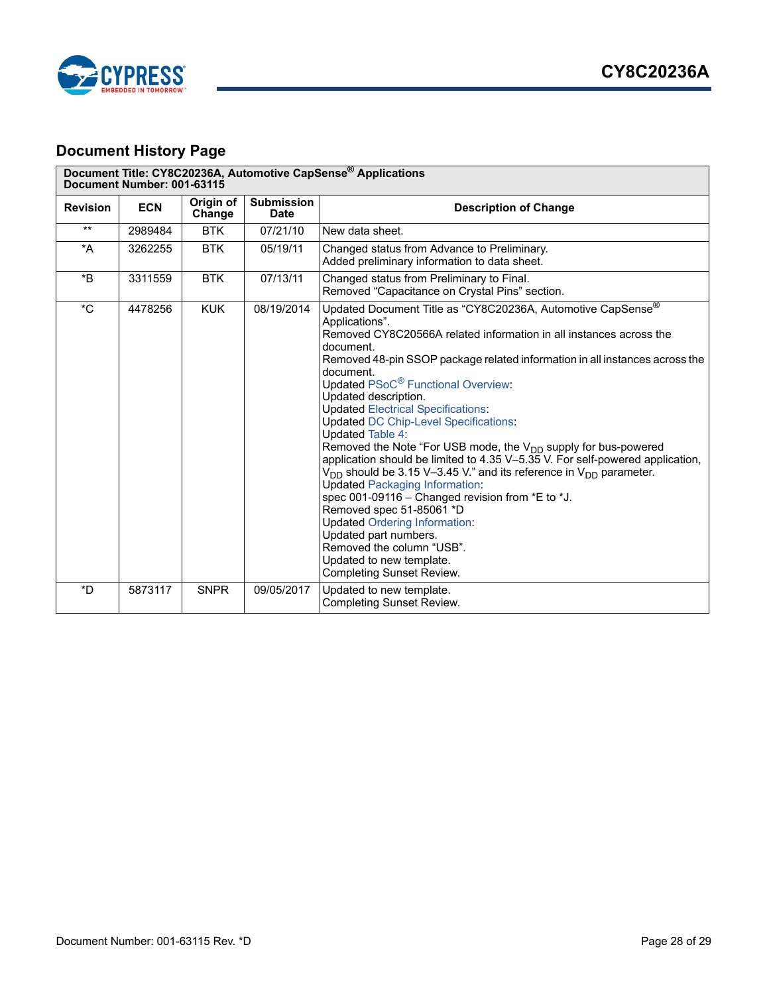

## <span id="page-27-0"></span>**Document History Page**

| Document Title: CY8C20236A, Automotive CapSense <sup>®</sup> Applications<br>Document Number: 001-63115 |            |                     |                                  |                                                                                                                                                                                                                                                                                                                                                                                                                                                                                                                                                                                                                                                                                                                                                                                                                                                                                                                                                                                                     |  |
|---------------------------------------------------------------------------------------------------------|------------|---------------------|----------------------------------|-----------------------------------------------------------------------------------------------------------------------------------------------------------------------------------------------------------------------------------------------------------------------------------------------------------------------------------------------------------------------------------------------------------------------------------------------------------------------------------------------------------------------------------------------------------------------------------------------------------------------------------------------------------------------------------------------------------------------------------------------------------------------------------------------------------------------------------------------------------------------------------------------------------------------------------------------------------------------------------------------------|--|
| <b>Revision</b>                                                                                         | <b>ECN</b> | Origin of<br>Change | <b>Submission</b><br><b>Date</b> | <b>Description of Change</b>                                                                                                                                                                                                                                                                                                                                                                                                                                                                                                                                                                                                                                                                                                                                                                                                                                                                                                                                                                        |  |
| $**$                                                                                                    | 2989484    | <b>BTK</b>          | 07/21/10                         | New data sheet.                                                                                                                                                                                                                                                                                                                                                                                                                                                                                                                                                                                                                                                                                                                                                                                                                                                                                                                                                                                     |  |
| $^*A$                                                                                                   | 3262255    | <b>BTK</b>          | 05/19/11                         | Changed status from Advance to Preliminary.<br>Added preliminary information to data sheet.                                                                                                                                                                                                                                                                                                                                                                                                                                                                                                                                                                                                                                                                                                                                                                                                                                                                                                         |  |
| *B                                                                                                      | 3311559    | <b>BTK</b>          | 07/13/11                         | Changed status from Preliminary to Final.<br>Removed "Capacitance on Crystal Pins" section.                                                                                                                                                                                                                                                                                                                                                                                                                                                                                                                                                                                                                                                                                                                                                                                                                                                                                                         |  |
| *C                                                                                                      | 4478256    | <b>KUK</b>          | 08/19/2014                       | Updated Document Title as "CY8C20236A, Automotive CapSense®<br>Applications".<br>Removed CY8C20566A related information in all instances across the<br>document.<br>Removed 48-pin SSOP package related information in all instances across the<br>document.<br>Updated PSoC <sup>®</sup> Functional Overview:<br>Updated description.<br><b>Updated Electrical Specifications:</b><br><b>Updated DC Chip-Level Specifications:</b><br><b>Updated Table 4:</b><br>Removed the Note "For USB mode, the V <sub>DD</sub> supply for bus-powered<br>application should be limited to 4.35 V-5.35 V. For self-powered application,<br>$V_{DD}$ should be 3.15 V-3.45 V." and its reference in $V_{DD}$ parameter.<br><b>Updated Packaging Information:</b><br>spec 001-09116 - Changed revision from *E to *J.<br>Removed spec 51-85061 *D<br><b>Updated Ordering Information:</b><br>Updated part numbers.<br>Removed the column "USB".<br>Updated to new template.<br><b>Completing Sunset Review.</b> |  |
| *D                                                                                                      | 5873117    | <b>SNPR</b>         | 09/05/2017                       | Updated to new template.<br><b>Completing Sunset Review.</b>                                                                                                                                                                                                                                                                                                                                                                                                                                                                                                                                                                                                                                                                                                                                                                                                                                                                                                                                        |  |